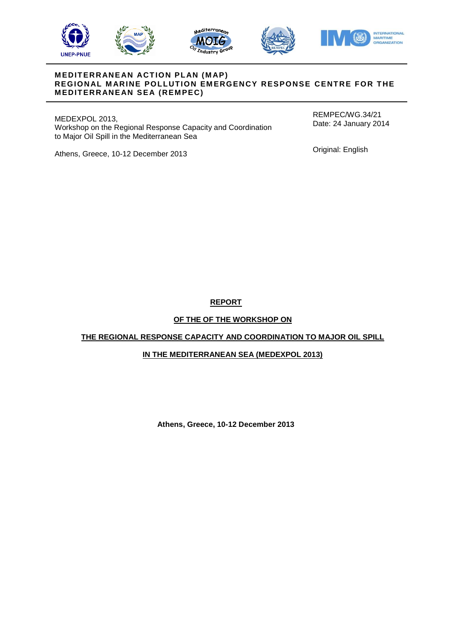







## **M EDIT ERR ANE AN ACT ION PL AN (M AP) REGIONAL MARINE POLLUTION EMERGENCY RESPONSE CENTRE FOR THE MEDITERRANEAN SEA (REMPEC)**

MEDEXPOL 2013, Workshop on the Regional Response Capacity and Coordination to Major Oil Spill in the Mediterranean Sea

REMPEC/WG.34/21 Date: 24 January 2014

Athens, Greece, 10-12 December 2013

Original: English

**REPORT**

# **OF THE OF THE WORKSHOP ON**

# **THE REGIONAL RESPONSE CAPACITY AND COORDINATION TO MAJOR OIL SPILL**

# **IN THE MEDITERRANEAN SEA (MEDEXPOL 2013)**

**Athens, Greece, 10-12 December 2013**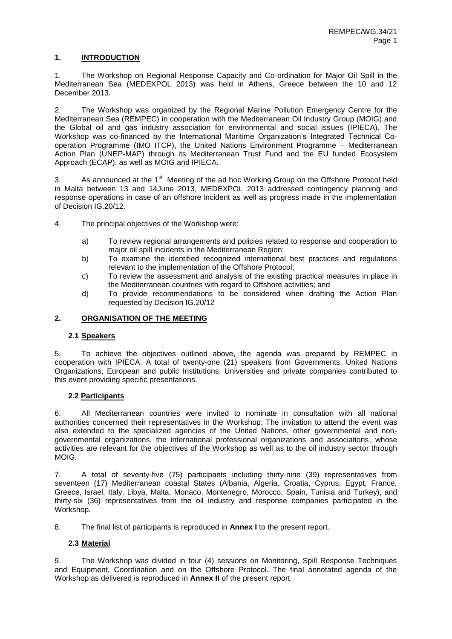# **1. INTRODUCTION**

1. The Workshop on Regional Response Capacity and Co-ordination for Major Oil Spill in the Mediterranean Sea (MEDEXPOL 2013) was held in Athens, Greece between the 10 and 12 December 2013.

2. The Workshop was organized by the Regional Marine Pollution Emergency Centre for the Mediterranean Sea (REMPEC) in cooperation with the Mediterranean Oil Industry Group (MOIG) and the Global oil and gas industry association for environmental and social issues (IPIECA). The Workshop was co-financed by the International Maritime Organization's Integrated Technical Cooperation Programme (IMO ITCP), the United Nations Environment Programme – Mediterranean Action Plan (UNEP-MAP) through its Mediterranean Trust Fund and the EU funded Ecosystem Approach (ECAP), as well as MOIG and IPIECA.

3. As announced at the 1<sup>st</sup> Meeting of the ad hoc Working Group on the Offshore Protocol held in Malta between 13 and 14June 2013, MEDEXPOL 2013 addressed contingency planning and response operations in case of an offshore incident as well as progress made in the implementation of Decision IG.20/12.

4. The principal objectives of the Workshop were:

- a) To review regional arrangements and policies related to response and cooperation to major oil spill incidents in the Mediterranean Region;
- b) To examine the identified recognized international best practices and regulations relevant to the implementation of the Offshore Protocol;
- c) To review the assessment and analysis of the existing practical measures in place in the Mediterranean countries with regard to Offshore activities; and
- d) To provide recommendations to be considered when drafting the Action Plan requested by Decision IG.20/12

# **2. ORGANISATION OF THE MEETING**

# **2.1 Speakers**

5. To achieve the objectives outlined above, the agenda was prepared by REMPEC in cooperation with IPIECA. A total of twenty-one (21) speakers from Governments, United Nations Organizations, European and public Institutions, Universities and private companies contributed to this event providing specific presentations.

## **2.2 Participants**

6. All Mediterranean countries were invited to nominate in consultation with all national authorities concerned their representatives in the Workshop. The invitation to attend the event was also extended to the specialized agencies of the United Nations, other governmental and nongovernmental organizations, the international professional organizations and associations, whose activities are relevant for the objectives of the Workshop as well as to the oil industry sector through MOIG.

7. A total of seventy-five (75) participants including thirty-nine (39) representatives from seventeen (17) Mediterranean coastal States (Albania, Algeria, Croatia, Cyprus, Egypt, France, Greece, Israel, Italy, Libya, Malta, Monaco, Montenegro, Morocco, Spain, Tunisia and Turkey), and thirty-six (36) representatives from the oil industry and response companies participated in the Workshop.

8. The final list of participants is reproduced in **Annex I** to the present report.

## **2.3 Material**

9. The Workshop was divided in four (4) sessions on Monitoring, Spill Response Techniques and Equipment, Coordination and on the Offshore Protocol. The final annotated agenda of the Workshop as delivered is reproduced in **Annex II** of the present report.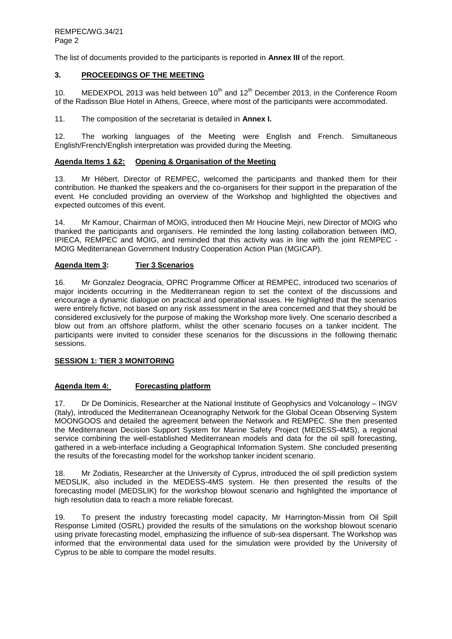The list of documents provided to the participants is reported in **Annex III** of the report.

## **3. PROCEEDINGS OF THE MEETING**

10. MEDEXPOL 2013 was held between  $10^{th}$  and  $12^{th}$  December 2013, in the Conference Room of the Radisson Blue Hotel in Athens, Greece, where most of the participants were accommodated.

11. The composition of the secretariat is detailed in **Annex I.**

12. The working languages of the Meeting were English and French. Simultaneous English/French/English interpretation was provided during the Meeting.

#### **Agenda Items 1 &2: Opening & Organisation of the Meeting**

13. Mr Hébert, Director of REMPEC, welcomed the participants and thanked them for their contribution. He thanked the speakers and the co-organisers for their support in the preparation of the event. He concluded providing an overview of the Workshop and highlighted the objectives and expected outcomes of this event.

14. Mr Kamour, Chairman of MOIG, introduced then Mr Houcine Mejri, new Director of MOIG who thanked the participants and organisers. He reminded the long lasting collaboration between IMO, IPIECA, REMPEC and MOIG, and reminded that this activity was in line with the joint REMPEC - MOIG Mediterranean Government Industry Cooperation Action Plan (MGICAP).

## **Agenda Item 3: Tier 3 Scenarios**

16. Mr Gonzalez Deogracia, OPRC Programme Officer at REMPEC, introduced two scenarios of major incidents occurring in the Mediterranean region to set the context of the discussions and encourage a dynamic dialogue on practical and operational issues. He highlighted that the scenarios were entirely fictive, not based on any risk assessment in the area concerned and that they should be considered exclusively for the purpose of making the Workshop more lively. One scenario described a blow out from an offshore platform, whilst the other scenario focuses on a tanker incident. The participants were invited to consider these scenarios for the discussions in the following thematic sessions.

## **SESSION 1: TIER 3 MONITORING**

#### **Agenda Item 4: Forecasting platform**

17. Dr De Dominicis, Researcher at the National Institute of Geophysics and Volcanology – INGV (Italy), introduced the Mediterranean Oceanography Network for the Global Ocean Observing System MOONGOOS and detailed the agreement between the Network and REMPEC. She then presented the Mediterranean Decision Support System for Marine Safety Project (MEDESS-4MS), a regional service combining the well-established Mediterranean models and data for the oil spill forecasting, gathered in a web-interface including a Geographical Information System. She concluded presenting the results of the forecasting model for the workshop tanker incident scenario.

18. Mr Zodiatis, Researcher at the University of Cyprus, introduced the oil spill prediction system MEDSLIK, also included in the MEDESS-4MS system. He then presented the results of the forecasting model (MEDSLIK) for the workshop blowout scenario and highlighted the importance of high resolution data to reach a more reliable forecast.

19. To present the industry forecasting model capacity, Mr Harrington-Missin from Oil Spill Response Limited (OSRL) provided the results of the simulations on the workshop blowout scenario using private forecasting model, emphasizing the influence of sub-sea dispersant. The Workshop was informed that the environmental data used for the simulation were provided by the University of Cyprus to be able to compare the model results.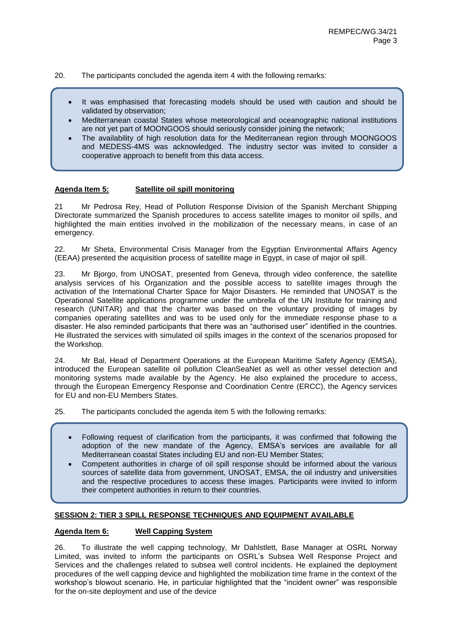20. The participants concluded the agenda item 4 with the following remarks:

- It was emphasised that forecasting models should be used with caution and should be validated by observation;
- Mediterranean coastal States whose meteorological and oceanographic national institutions are not yet part of MOONGOOS should seriously consider joining the network;
- The availability of high resolution data for the Mediterranean region through MOONGOOS and MEDESS-4MS was acknowledged. The industry sector was invited to consider a cooperative approach to benefit from this data access.

## **Agenda Item 5: Satellite oil spill monitoring**

21 Mr Pedrosa Rey, Head of Pollution Response Division of the Spanish Merchant Shipping Directorate summarized the Spanish procedures to access satellite images to monitor oil spills, and highlighted the main entities involved in the mobilization of the necessary means, in case of an emergency.

22. Mr Sheta, Environmental Crisis Manager from the Egyptian Environmental Affairs Agency (EEAA) presented the acquisition process of satellite mage in Egypt, in case of major oil spill.

23. Mr Bjorgo, from UNOSAT, presented from Geneva, through video conference, the satellite analysis services of his Organization and the possible access to satellite images through the activation of the International Charter Space for Major Disasters. He reminded that UNOSAT is the Operational Satellite applications programme under the umbrella of the UN Institute for training and research (UNITAR) and that the charter was based on the voluntary providing of images by companies operating satellites and was to be used only for the immediate response phase to a disaster. He also reminded participants that there was an "authorised user" identified in the countries. He illustrated the services with simulated oil spills images in the context of the scenarios proposed for the Workshop.

24. Mr Bal, Head of Department Operations at the European Maritime Safety Agency (EMSA), introduced the European satellite oil pollution CleanSeaNet as well as other vessel detection and monitoring systems made available by the Agency. He also explained the procedure to access, through the European Emergency Response and Coordination Centre (ERCC), the Agency services for EU and non-EU Members States.

25. The participants concluded the agenda item 5 with the following remarks:

- Following request of clarification from the participants, it was confirmed that following the adoption of the new mandate of the Agency, EMSA's services are available for all Mediterranean coastal States including EU and non-EU Member States;
- Competent authorities in charge of oil spill response should be informed about the various sources of satellite data from government, UNOSAT, EMSA, the oil industry and universities and the respective procedures to access these images. Participants were invited to inform their competent authorities in return to their countries.

## **SESSION 2: TIER 3 SPILL RESPONSE TECHNIQUES AND EQUIPMENT AVAILABLE**

#### **Agenda Item 6: Well Capping System**

26. To illustrate the well capping technology, Mr Dahlstlett, Base Manager at OSRL Norway Limited, was invited to inform the participants on OSRL's Subsea Well Response Project and Services and the challenges related to subsea well control incidents. He explained the deployment procedures of the well capping device and highlighted the mobilization time frame in the context of the workshop's blowout scenario. He, in particular highlighted that the "incident owner" was responsible for the on-site deployment and use of the device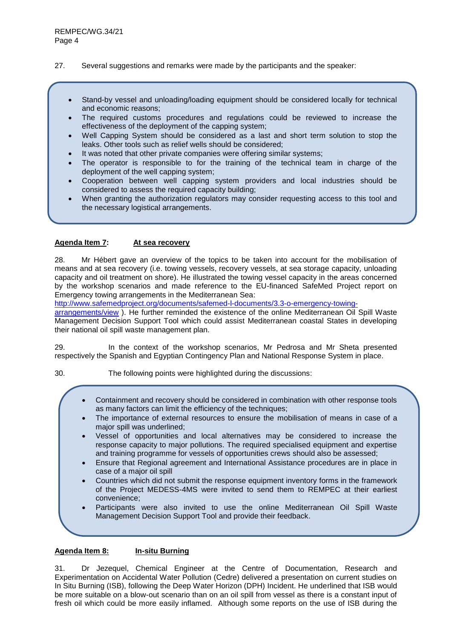## 27. Several suggestions and remarks were made by the participants and the speaker:

- Stand-by vessel and unloading/loading equipment should be considered locally for technical and economic reasons;
- The required customs procedures and regulations could be reviewed to increase the effectiveness of the deployment of the capping system;
- Well Capping System should be considered as a last and short term solution to stop the leaks. Other tools such as relief wells should be considered;
- It was noted that other private companies were offering similar systems;
- The operator is responsible to for the training of the technical team in charge of the deployment of the well capping system;
- Cooperation between well capping system providers and local industries should be considered to assess the required capacity building;
- When granting the authorization regulators may consider requesting access to this tool and the necessary logistical arrangements.

## **Agenda Item 7: At sea recovery**

28. Mr Hébert gave an overview of the topics to be taken into account for the mobilisation of means and at sea recovery (i.e. towing vessels, recovery vessels, at sea storage capacity, unloading capacity and oil treatment on shore). He illustrated the towing vessel capacity in the areas concerned by the workshop scenarios and made reference to the EU-financed SafeMed Project report on Emergency towing arrangements in the Mediterranean Sea:

[http://www.safemedproject.org/documents/safemed-l-documents/3.3-o-emergency-towing-](http://www.safemedproject.org/documents/safemed-l-documents/3.3-o-emergency-towing-arrangements/view)

[arrangements/view](http://www.safemedproject.org/documents/safemed-l-documents/3.3-o-emergency-towing-arrangements/view) ). He further reminded the existence of the online Mediterranean Oil Spill Waste Management Decision Support Tool which could assist Mediterranean coastal States in developing their national oil spill waste management plan.

29. In the context of the workshop scenarios, Mr Pedrosa and Mr Sheta presented respectively the Spanish and Egyptian Contingency Plan and National Response System in place.

30. The following points were highlighted during the discussions:

- Containment and recovery should be considered in combination with other response tools as many factors can limit the efficiency of the techniques;
- The importance of external resources to ensure the mobilisation of means in case of a major spill was underlined;
- Vessel of opportunities and local alternatives may be considered to increase the response capacity to major pollutions. The required specialised equipment and expertise and training programme for vessels of opportunities crews should also be assessed;
- Ensure that Regional agreement and International Assistance procedures are in place in case of a major oil spill
- Countries which did not submit the response equipment inventory forms in the framework of the Project MEDESS-4MS were invited to send them to REMPEC at their earliest convenience;
- Participants were also invited to use the online Mediterranean Oil Spill Waste Management Decision Support Tool and provide their feedback.

#### **Agenda Item 8: In-situ Burning**

31. Dr Jezequel, Chemical Engineer at the Centre of Documentation, Research and Experimentation on Accidental Water Pollution (Cedre) delivered a presentation on current studies on In Situ Burning (ISB), following the Deep Water Horizon (DPH) Incident. He underlined that ISB would be more suitable on a blow-out scenario than on an oil spill from vessel as there is a constant input of fresh oil which could be more easily inflamed. Although some reports on the use of ISB during the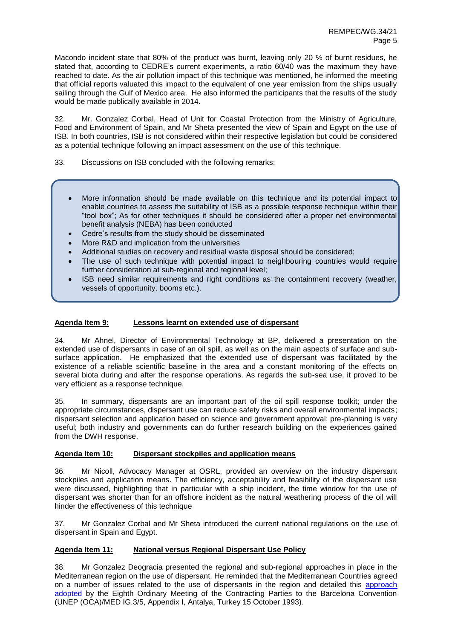Macondo incident state that 80% of the product was burnt, leaving only 20 % of burnt residues, he stated that, according to CEDRE's current experiments, a ratio 60/40 was the maximum they have reached to date. As the air pollution impact of this technique was mentioned, he informed the meeting that official reports valuated this impact to the equivalent of one year emission from the ships usually sailing through the Gulf of Mexico area. He also informed the participants that the results of the study would be made publically available in 2014.

32. Mr. Gonzalez Corbal, Head of Unit for Coastal Protection from the Ministry of Agriculture, Food and Environment of Spain, and Mr Sheta presented the view of Spain and Egypt on the use of ISB. In both countries, ISB is not considered within their respective legislation but could be considered as a potential technique following an impact assessment on the use of this technique.

33. Discussions on ISB concluded with the following remarks:

- More information should be made available on this technique and its potential impact to enable countries to assess the suitability of ISB as a possible response technique within their "tool box"; As for other techniques it should be considered after a proper net environmental benefit analysis (NEBA) has been conducted
- Cedre's results from the study should be disseminated
- More R&D and implication from the universities
- Additional studies on recovery and residual waste disposal should be considered;
- The use of such technique with potential impact to neighbouring countries would require further consideration at sub-regional and regional level;
- ISB need similar requirements and right conditions as the containment recovery (weather, vessels of opportunity, booms etc.).

## **Agenda Item 9: Lessons learnt on extended use of dispersant**

34. Mr Ahnel, Director of Environmental Technology at BP, delivered a presentation on the extended use of dispersants in case of an oil spill, as well as on the main aspects of surface and subsurface application. He emphasized that the extended use of dispersant was facilitated by the existence of a reliable scientific baseline in the area and a constant monitoring of the effects on several biota during and after the response operations. As regards the sub-sea use, it proved to be very efficient as a response technique.

35. In summary, dispersants are an important part of the oil spill response toolkit; under the appropriate circumstances, dispersant use can reduce safety risks and overall environmental impacts; dispersant selection and application based on science and government approval; pre-planning is very useful; both industry and governments can do further research building on the experiences gained from the DWH response.

#### **Agenda Item 10: Dispersant stockpiles and application means**

36. Mr Nicoll, Advocacy Manager at OSRL, provided an overview on the industry dispersant stockpiles and application means. The efficiency, acceptability and feasibility of the dispersant use were discussed, highlighting that in particular with a ship incident, the time window for the use of dispersant was shorter than for an offshore incident as the natural weathering process of the oil will hinder the effectiveness of this technique

37. Mr Gonzalez Corbal and Mr Sheta introduced the current national regulations on the use of dispersant in Spain and Egypt.

## **Agenda Item 11: National versus Regional Dispersant Use Policy**

38. Mr Gonzalez Deogracia presented the regional and sub-regional approaches in place in the Mediterranean region on the use of dispersant. He reminded that the Mediterranean Countries agreed on a number of issues related to the use of dispersants in the region and detailed this [approach](http://www.rempec.org/admin/store/wyswigImg/file/Information%20resources/Guidelines/RIS%20D2%20%28Dispersants%29/EN/DispersantsGuidelinesPartI.pdf) [adopted](http://www.rempec.org/admin/store/wyswigImg/file/Information%20resources/Guidelines/RIS%20D2%20%28Dispersants%29/EN/DispersantsGuidelinesPartI.pdf) by the Eighth Ordinary Meeting of the Contracting Parties to the Barcelona Convention (UNEP (OCA)/MED IG.3/5, Appendix I, Antalya, Turkey 15 October 1993).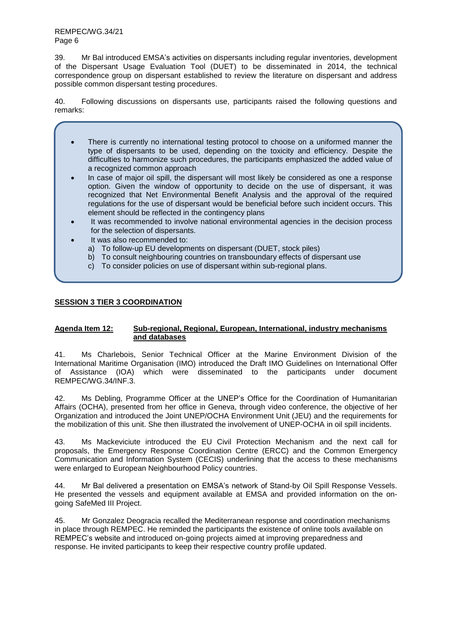39. Mr Bal introduced EMSA's activities on dispersants including regular inventories, development of the Dispersant Usage Evaluation Tool (DUET) to be disseminated in 2014, the technical correspondence group on dispersant established to review the literature on dispersant and address possible common dispersant testing procedures.

40. Following discussions on dispersants use, participants raised the following questions and remarks:

- There is currently no international testing protocol to choose on a uniformed manner the type of dispersants to be used, depending on the toxicity and efficiency. Despite the difficulties to harmonize such procedures, the participants emphasized the added value of a recognized common approach
- In case of major oil spill, the dispersant will most likely be considered as one a response option. Given the window of opportunity to decide on the use of dispersant, it was recognized that Net Environmental Benefit Analysis and the approval of the required regulations for the use of dispersant would be beneficial before such incident occurs. This element should be reflected in the contingency plans
- It was recommended to involve national environmental agencies in the decision process for the selection of dispersants.
	- It was also recommended to:
		- a) To follow-up EU developments on dispersant (DUET, stock piles)
		- b) To consult neighbouring countries on transboundary effects of dispersant use
		- c) To consider policies on use of dispersant within sub-regional plans.

# **SESSION 3 TIER 3 COORDINATION**

## **Agenda Item 12: Sub-regional, Regional, European, International, industry mechanisms and databases**

41. Ms Charlebois, Senior Technical Officer at the Marine Environment Division of the International Maritime Organisation (IMO) introduced the Draft IMO Guidelines on International Offer of Assistance (IOA) which were disseminated to the participants under document REMPEC/WG.34/INF.3.

42. Ms Debling, Programme Officer at the UNEP's Office for the Coordination of Humanitarian Affairs (OCHA), presented from her office in Geneva, through video conference, the objective of her Organization and introduced the Joint UNEP/OCHA Environment Unit (JEU) and the requirements for the mobilization of this unit. She then illustrated the involvement of UNEP-OCHA in oil spill incidents.

43. Ms Mackeviciute introduced the EU Civil Protection Mechanism and the next call for proposals, the Emergency Response Coordination Centre (ERCC) and the Common Emergency Communication and Information System (CECIS) underlining that the access to these mechanisms were enlarged to European Neighbourhood Policy countries.

44. Mr Bal delivered a presentation on EMSA's network of Stand-by Oil Spill Response Vessels. He presented the vessels and equipment available at EMSA and provided information on the ongoing SafeMed III Project.

45. Mr Gonzalez Deogracia recalled the Mediterranean response and coordination mechanisms in place through REMPEC. He reminded the participants the existence of online tools available on REMPEC's website and introduced on-going projects aimed at improving preparedness and response. He invited participants to keep their respective country profile updated.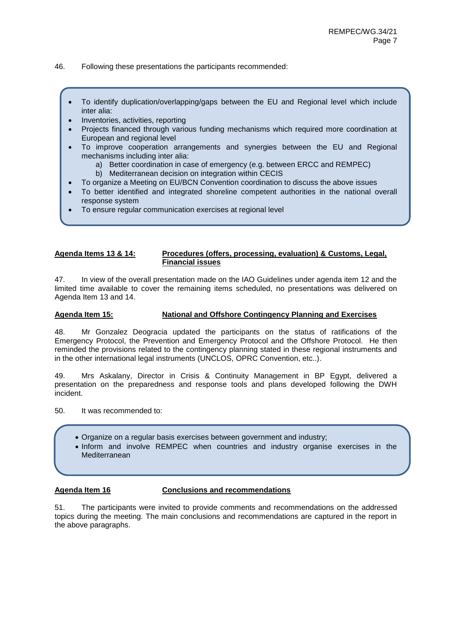- 46. Following these presentations the participants recommended:
	- To identify duplication/overlapping/gaps between the EU and Regional level which include inter alia:
	- Inventories, activities, reporting
	- Projects financed through various funding mechanisms which required more coordination at European and regional level
	- To improve cooperation arrangements and synergies between the EU and Regional mechanisms including inter alia:
		- a) Better coordination in case of emergency (e.g. between ERCC and REMPEC)
		- b) Mediterranean decision on integration within CECIS
		- To organize a Meeting on EU/BCN Convention coordination to discuss the above issues
	- To better identified and integrated shoreline competent authorities in the national overall response system
	- To ensure regular communication exercises at regional level

#### **Agenda Items 13 & 14: Procedures (offers, processing, evaluation) & Customs, Legal, Financial issues**

47. In view of the overall presentation made on the IAO Guidelines under agenda item 12 and the limited time available to cover the remaining items scheduled, no presentations was delivered on Agenda Item 13 and 14.

## **Agenda Item 15: National and Offshore Contingency Planning and Exercises**

48. Mr Gonzalez Deogracia updated the participants on the status of ratifications of the Emergency Protocol, the Prevention and Emergency Protocol and the Offshore Protocol. He then reminded the provisions related to the contingency planning stated in these regional instruments and in the other international legal instruments (UNCLOS, OPRC Convention, etc..).

49. Mrs Askalany, Director in Crisis & Continuity Management in BP Egypt, delivered a presentation on the preparedness and response tools and plans developed following the DWH incident.

50. It was recommended to:

- Organize on a regular basis exercises between government and industry;
- Inform and involve REMPEC when countries and industry organise exercises in the Mediterranean

#### **Agenda Item 16 Conclusions and recommendations**

51. The participants were invited to provide comments and recommendations on the addressed topics during the meeting. The main conclusions and recommendations are captured in the report in the above paragraphs.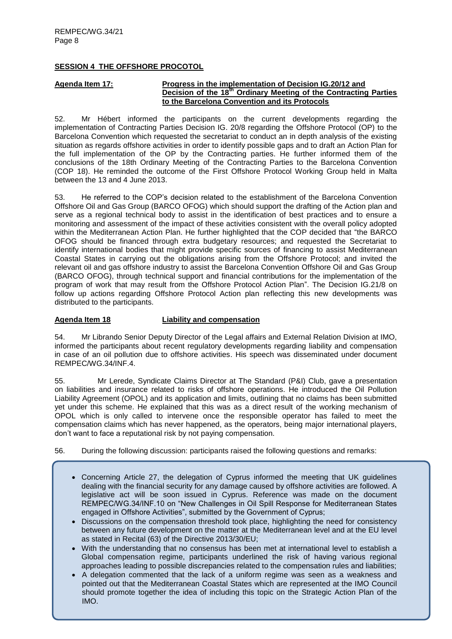## **SESSION 4 THE OFFSHORE PROCOTOL**

## **Agenda Item 17: Progress in the implementation of Decision IG.20/12 and Decision of the 18th Ordinary Meeting of the Contracting Parties to the Barcelona Convention and its Protocols**

52. Mr Hébert informed the participants on the current developments regarding the implementation of Contracting Parties Decision IG. 20/8 regarding the Offshore Protocol (OP) to the Barcelona Convention which requested the secretariat to conduct an in depth analysis of the existing situation as regards offshore activities in order to identify possible gaps and to draft an Action Plan for the full implementation of the OP by the Contracting parties. He further informed them of the conclusions of the 18th Ordinary Meeting of the Contracting Parties to the Barcelona Convention (COP 18). He reminded the outcome of the First Offshore Protocol Working Group held in Malta between the 13 and 4 June 2013.

53. He referred to the COP's decision related to the establishment of the Barcelona Convention Offshore Oil and Gas Group (BARCO OFOG) which should support the drafting of the Action plan and serve as a regional technical body to assist in the identification of best practices and to ensure a monitoring and assessment of the impact of these activities consistent with the overall policy adopted within the Mediterranean Action Plan. He further highlighted that the COP decided that "the BARCO OFOG should be financed through extra budgetary resources; and requested the Secretariat to identify international bodies that might provide specific sources of financing to assist Mediterranean Coastal States in carrying out the obligations arising from the Offshore Protocol; and invited the relevant oil and gas offshore industry to assist the Barcelona Convention Offshore Oil and Gas Group (BARCO OFOG), through technical support and financial contributions for the implementation of the program of work that may result from the Offshore Protocol Action Plan". The Decision IG.21/8 on follow up actions regarding Offshore Protocol Action plan reflecting this new developments was distributed to the participants.

## **Agenda Item 18 Liability and compensation**

54. Mr Librando Senior Deputy Director of the Legal affairs and External Relation Division at IMO, informed the participants about recent regulatory developments regarding liability and compensation in case of an oil pollution due to offshore activities. His speech was disseminated under document REMPEC/WG.34/INF.4.

55. Mr Lerede, Syndicate Claims Director at The Standard (P&I) Club, gave a presentation on liabilities and insurance related to risks of offshore operations. He introduced the Oil Pollution Liability Agreement (OPOL) and its application and limits, outlining that no claims has been submitted yet under this scheme. He explained that this was as a direct result of the working mechanism of OPOL which is only called to intervene once the responsible operator has failed to meet the compensation claims which has never happened, as the operators, being major international players, don't want to face a reputational risk by not paying compensation.

56. During the following discussion: participants raised the following questions and remarks:

- Concerning Article 27, the delegation of Cyprus informed the meeting that UK guidelines dealing with the financial security for any damage caused by offshore activities are followed. A legislative act will be soon issued in Cyprus. Reference was made on the document REMPEC/WG.34/INF.10 on "New Challenges in Oil Spill Response for Mediterranean States engaged in Offshore Activities", submitted by the Government of Cyprus;
- Discussions on the compensation threshold took place, highlighting the need for consistency between any future development on the matter at the Mediterranean level and at the EU level as stated in Recital (63) of the Directive 2013/30/EU;
- With the understanding that no consensus has been met at international level to establish a Global compensation regime, participants underlined the risk of having various regional approaches leading to possible discrepancies related to the compensation rules and liabilities;
- A delegation commented that the lack of a uniform regime was seen as a weakness and pointed out that the Mediterranean Coastal States which are represented at the IMO Council should promote together the idea of including this topic on the Strategic Action Plan of the IMO.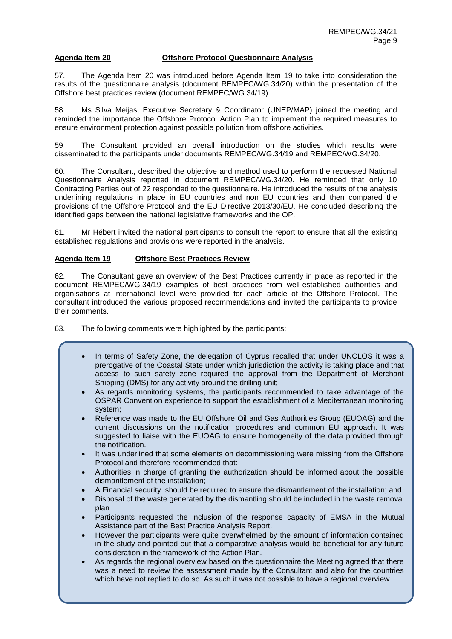## **Agenda Item 20 Offshore Protocol Questionnaire Analysis**

57. The Agenda Item 20 was introduced before Agenda Item 19 to take into consideration the results of the questionnaire analysis (document REMPEC/WG.34/20) within the presentation of the Offshore best practices review (document REMPEC/WG.34/19).

58. Ms Silva Meijas, Executive Secretary & Coordinator (UNEP/MAP) joined the meeting and reminded the importance the Offshore Protocol Action Plan to implement the required measures to ensure environment protection against possible pollution from offshore activities.

59 The Consultant provided an overall introduction on the studies which results were disseminated to the participants under documents REMPEC/WG.34/19 and REMPEC/WG.34/20.

60. The Consultant, described the objective and method used to perform the requested National Questionnaire Analysis reported in document REMPEC/WG.34/20. He reminded that only 10 Contracting Parties out of 22 responded to the questionnaire. He introduced the results of the analysis underlining regulations in place in EU countries and non EU countries and then compared the provisions of the Offshore Protocol and the EU Directive 2013/30/EU. He concluded describing the identified gaps between the national legislative frameworks and the OP.

61. Mr Hébert invited the national participants to consult the report to ensure that all the existing established regulations and provisions were reported in the analysis.

## **Agenda Item 19 Offshore Best Practices Review**

62. The Consultant gave an overview of the Best Practices currently in place as reported in the document REMPEC/WG.34/19 examples of best practices from well-established authorities and organisations at international level were provided for each article of the Offshore Protocol. The consultant introduced the various proposed recommendations and invited the participants to provide their comments.

63. The following comments were highlighted by the participants:

- In terms of Safety Zone, the delegation of Cyprus recalled that under UNCLOS it was a prerogative of the Coastal State under which jurisdiction the activity is taking place and that access to such safety zone required the approval from the Department of Merchant Shipping (DMS) for any activity around the drilling unit;
- As regards monitoring systems, the participants recommended to take advantage of the OSPAR Convention experience to support the establishment of a Mediterranean monitoring system;
- Reference was made to the EU Offshore Oil and Gas Authorities Group (EUOAG) and the current discussions on the notification procedures and common EU approach. It was suggested to liaise with the EUOAG to ensure homogeneity of the data provided through the notification.
- It was underlined that some elements on decommissioning were missing from the Offshore Protocol and therefore recommended that:
- Authorities in charge of granting the authorization should be informed about the possible dismantlement of the installation;
- A Financial security should be required to ensure the dismantlement of the installation; and
- Disposal of the waste generated by the dismantling should be included in the waste removal plan
- Participants requested the inclusion of the response capacity of EMSA in the Mutual Assistance part of the Best Practice Analysis Report.
- However the participants were quite overwhelmed by the amount of information contained in the study and pointed out that a comparative analysis would be beneficial for any future consideration in the framework of the Action Plan.
- As regards the regional overview based on the questionnaire the Meeting agreed that there was a need to review the assessment made by the Consultant and also for the countries which have not replied to do so. As such it was not possible to have a regional overview.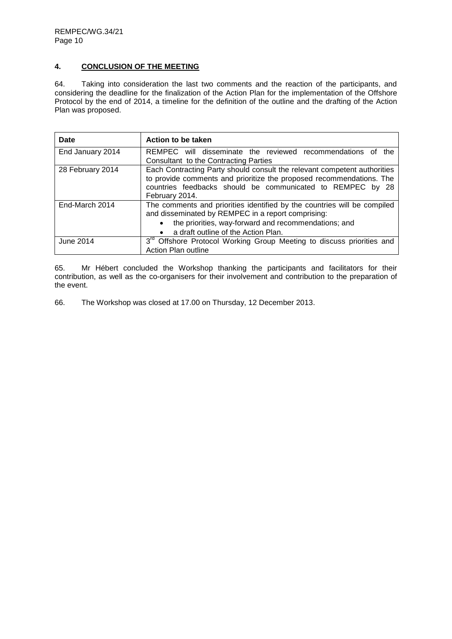# **4. CONCLUSION OF THE MEETING**

64. Taking into consideration the last two comments and the reaction of the participants, and considering the deadline for the finalization of the Action Plan for the implementation of the Offshore Protocol by the end of 2014, a timeline for the definition of the outline and the drafting of the Action Plan was proposed.

| Date             | Action to be taken                                                                                                                                                                                                                         |
|------------------|--------------------------------------------------------------------------------------------------------------------------------------------------------------------------------------------------------------------------------------------|
| End January 2014 | REMPEC will disseminate the reviewed recommendations of<br>the<br>Consultant to the Contracting Parties                                                                                                                                    |
| 28 February 2014 | Each Contracting Party should consult the relevant competent authorities<br>to provide comments and prioritize the proposed recommendations. The<br>countries feedbacks should be communicated to REMPEC by 28<br>February 2014.           |
| End-March 2014   | The comments and priorities identified by the countries will be compiled<br>and disseminated by REMPEC in a report comprising:<br>the priorities, way-forward and recommendations; and<br>a draft outline of the Action Plan.<br>$\bullet$ |
| June 2014        | 3 <sup>rd</sup> Offshore Protocol Working Group Meeting to discuss priorities and<br>Action Plan outline                                                                                                                                   |

65. Mr Hébert concluded the Workshop thanking the participants and facilitators for their contribution, as well as the co-organisers for their involvement and contribution to the preparation of the event.

66. The Workshop was closed at 17.00 on Thursday, 12 December 2013.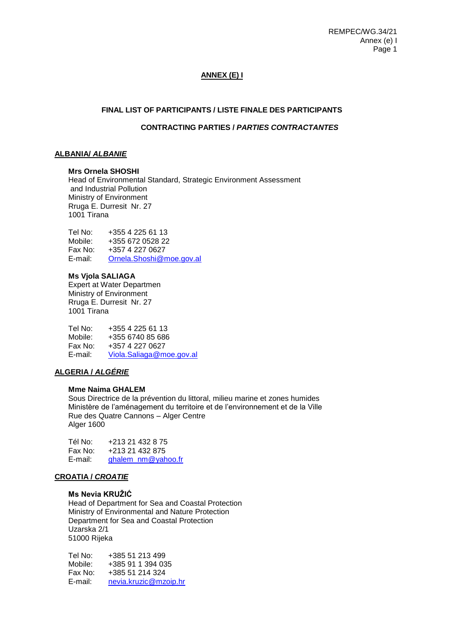# **ANNEX (E) I**

## **FINAL LIST OF PARTICIPANTS / LISTE FINALE DES PARTICIPANTS**

## **CONTRACTING PARTIES /** *PARTIES CONTRACTANTES*

## **ALBANIA/** *ALBANIE*

#### **Mrs Ornela SHOSHI**

Head of Environmental Standard, Strategic Environment Assessment and Industrial Pollution Ministry of Environment Rruga E. Durresit Nr. 27 1001 Tirana

Tel No: +355 4 225 61 13 Mobile: +355 672 0528 22 Fax No: +357 4 227 0627 E-mail: [Ornela.Shoshi@moe.gov.al](mailto:Ornela.Shoshi@moe.gov.al)

#### **Ms Vjola SALIAGA**

Expert at Water Departmen Ministry of Environment Rruga E. Durresit Nr. 27 1001 Tirana

Tel No: +355 4 225 61 13<br>Mobile: +355 6740 85 686 Mobile: +355 6740 85 686<br>Fax No: +357 4 227 0627 Fax No: +357 4 227 0627<br>E-mail: Viola.Saliaga@m [Viola.Saliaga@moe.gov.al](mailto:Viola.Saliaga@moe.gov.al)

## **ALGERIA /** *ALGÉRIE*

## **Mme Naima GHALEM**

Sous Directrice de la prévention du littoral, milieu marine et zones humides Ministère de l'aménagement du territoire et de l'environnement et de la Ville Rue des Quatre Cannons – Alger Centre Alger 1600

Tél No: +213 21 432 8 75 Fax No: +213 21 432 875 E-mail: [ghalem\\_nm@yahoo.fr](mailto:ghalem_nm@yahoo.fr)

# **CROATIA /** *CROATIE*

## **Ms Nevia KRUŽIĆ**

Head of Department for Sea and Coastal Protection Ministry of Environmental and Nature Protection Department for Sea and Coastal Protection Uzarska 2/1 51000 Rijeka

Tel No: +385 51 213 499 Mobile: +385 91 1 394 035 Fax No: +385 51 214 324 E-mail: [nevia.kruzic@mzoip.hr](mailto:nevia.kruzic@mzoip.hr)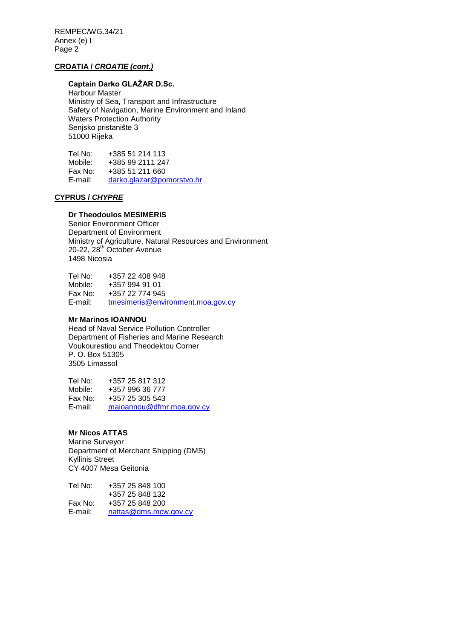## **CROATIA /** *CROATIE (cont.)*

# **Captain Darko GLAŽAR D.Sc.**

Harbour Master Ministry of Sea, Transport and Infrastructure Safety of Navigation, Marine Environment and Inland Waters Protection Authority Senjsko pristaniŝte 3 51000 Rijeka

Tel No: +385 51 214 113<br>Mobile: +385 99 2111 247 +385 99 2111 247 Fax No:  $+38551211660$ <br>E-mail: darko.glazar@poi [darko.glazar@pomorstvo.hr](mailto:darko.glazar@pomorstvo.hr)

# **CYPRUS /** *CHYPRE*

## **Dr Theodoulos MESIMERIS**

Senior Environment Officer Department of Environment Ministry of Agriculture, Natural Resources and Environment 20-22, 28<sup>th</sup> October Avenue 1498 Nicosia

Tel No: +357 22 408 948 Mobile: +357 994 91 01 Fax No: +357 22 774 945 E-mail: [tmesimeris@environment.moa.gov.cy](mailto:tmesimeris@environment.moa.gov.cy)

## **Mr Marinos IOANNOU**

Head of Naval Service Pollution Controller Department of Fisheries and Marine Research Voukourestiou and Theodektou Corner P. O. Box 51305 3505 Limassol

Tel No: +357 25 817 312 Mobile: +357 996 36 777 Fax No: +357 25 305 543 E-mail: [maioannou@dfmr.moa.gov.cy](mailto:maioannou@dfmr.moa.gov.cy)

## **Mr Nicos ATTAS**

Marine Surveyor Department of Merchant Shipping (DMS) Kyllinis Street CY 4007 Mesa Geitonia

| Tel No: | +357 25 848 100       |
|---------|-----------------------|
|         | +357 25 848 132       |
| Fax No: | +357 25 848 200       |
| E-mail: | nattas@dms.mcw.gov.cy |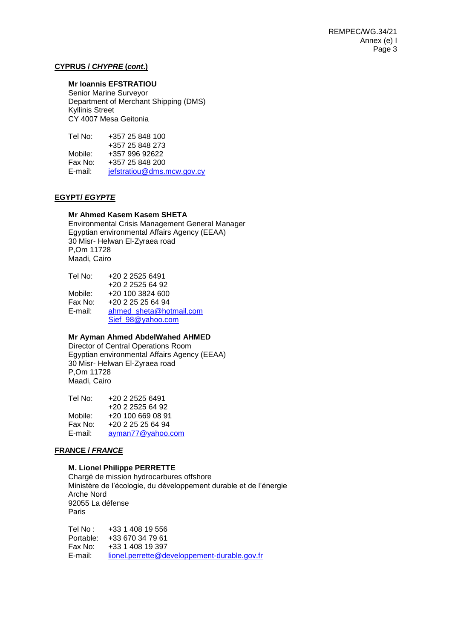## **CYPRUS /** *CHYPRE* **(***cont***.)**

# **Mr Ioannis EFSTRATIOU**

Senior Marine Surveyor Department of Merchant Shipping (DMS) Kyllinis Street CY 4007 Mesa Geitonia

Tel No: +357 25 848 100 +357 25 848 273 Mobile: +357 996 92622<br>Fax No: +357 25 848 200 +357 25 848 200 E-mail: [jefstratiou@dms.mcw.gov.cy](mailto:jefstratiou@dms.mcw.gov.cy)

# **EGYPT/** *EGYPTE*

## **Mr Ahmed Kasem Kasem SHETA**

Environmental Crisis Management General Manager Egyptian environmental Affairs Agency (EEAA) 30 Misr- Helwan El-Zyraea road P,Om 11728 Maadi, Cairo

| Tel No: | +20 2 2525 6491         |
|---------|-------------------------|
|         | +20 2 2525 64 92        |
| Mobile: | +20 100 3824 600        |
| Fax No: | $+20$ 2 25 25 64 94     |
| E-mail: | ahmed sheta@hotmail.com |
|         | Sief 98@yahoo.com       |

## **Mr Ayman Ahmed AbdelWahed AHMED**

Director of Central Operations Room Egyptian environmental Affairs Agency (EEAA) 30 Misr- Helwan El-Zyraea road P,Om 11728 Maadi, Cairo

| Tel No: | +20 2 2525 6491   |
|---------|-------------------|
|         | +20 2 2525 64 92  |
| Mobile: | +20 100 669 08 91 |
| Fax No: | +20 2 25 25 64 94 |
| E-mail: | ayman77@yahoo.com |

## **FRANCE /** *FRANCE*

#### **M. Lionel Philippe PERRETTE**

Chargé de mission hydrocarbures offshore Ministère de l'écologie, du développement durable et de l'énergie Arche Nord 92055 La défense Paris

Tel No : +33 1 408 19 556 Portable: +33 670 34 79 61 +33 1 408 19 397 E-mail: [lionel.perrette@developpement-durable.gov.fr](mailto:lionel.perrette@developpement-durable.gov.fr)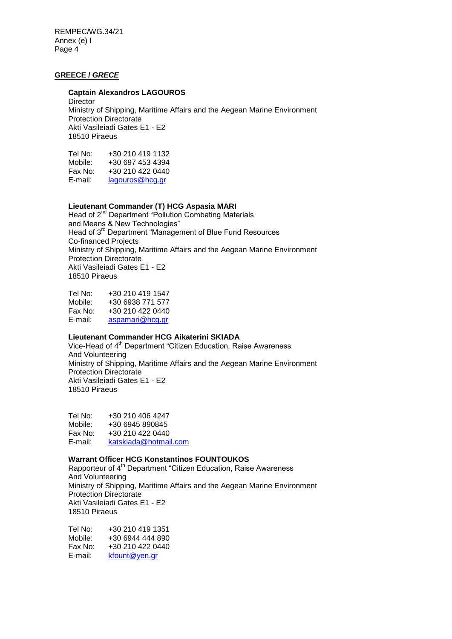# **GREECE /** *GRECE*

### **Captain Alexandros LAGOUROS**

**Director** Ministry of Shipping, Maritime Affairs and the Aegean Marine Environment Protection Directorate Akti Vasileiadi Gates E1 *-* E2 18510 Piraeus

| Tel No: | +30 210 419 1132 |
|---------|------------------|
| Mobile: | +30 697 453 4394 |
| Fax No: | +30 210 422 0440 |
| E-mail: | lagouros@hcg.gr  |
|         |                  |

## **Lieutenant Commander (T) HCG Aspasia MARI**

Head of 2<sup>nd</sup> Department "Pollution Combating Materials" and Means & New Technologies" Head of 3rd Department "Management of Blue Fund Resources Co-financed Projects Ministry of Shipping, Maritime Affairs and the Aegean Marine Environment Protection Directorate Akti Vasileiadi Gates E1 *-* E2 18510 Piraeus

Tel No: +30 210 419 1547 Mobile: +30 6938 771 577 Fax No: +30 210 422 0440 E-mail: [aspamari@hcg.gr](mailto:aspamari@hcg.gr)

## **Lieutenant Commander HCG Aikaterini SKIADA**

Vice-Head of 4<sup>th</sup> Department "Citizen Education, Raise Awareness And Volunteering Ministry of Shipping, Maritime Affairs and the Aegean Marine Environment Protection Directorate Akti Vasileiadi Gates E1 *-* E2 18510 Piraeus

Tel No: +30 210 406 4247 Mobile: +30 6945 890845 Fax No: +30 210 422 0440 E-mail: [katskiada@hotmail.com](mailto:katskiada@hotmail.com)

# **Warrant Officer HCG Konstantinos FOUNTOUKOS**

Rapporteur of 4<sup>th</sup> Department "Citizen Education, Raise Awareness And Volunteering Ministry of Shipping, Maritime Affairs and the Aegean Marine Environment Protection Directorate Akti Vasileiadi Gates E1 *-* E2 18510 Piraeus

Tel No: +30 210 419 1351<br>Mobile: +30 6944 444 890 +30 6944 444 890 Fax No: +30 210 422 0440 E-mail: [kfount@yen.gr](mailto:kfount@yen.gr)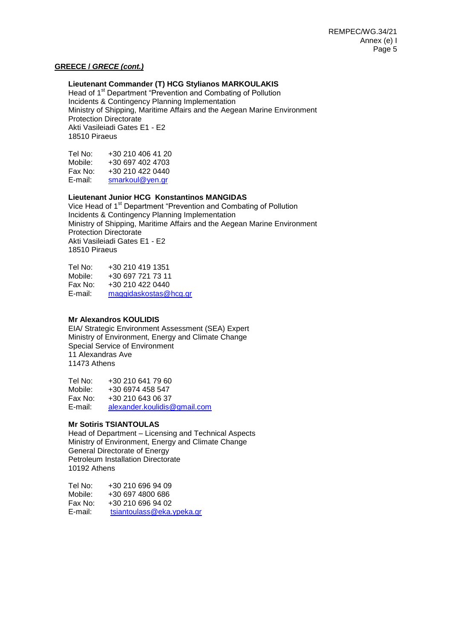### **GREECE /** *GRECE (cont.)*

## **Lieutenant Commander (T) HCG Stylianos MARKOULAKIS**

Head of 1<sup>st</sup> Department "Prevention and Combating of Pollution Incidents & Contingency Planning Implementation Ministry of Shipping, Maritime Affairs and the Aegean Marine Environment Protection Directorate Akti Vasileiadi Gates E1 *-* E2 18510 Piraeus

| +30 210 406 41 20 |
|-------------------|
| +30 697 402 4703  |
| +30 210 422 0440  |
| smarkoul@yen.gr   |
|                   |

## **Lieutenant Junior HCG Konstantinos MANGIDAS**

Vice Head of 1<sup>st</sup> Department "Prevention and Combating of Pollution" Incidents & Contingency Planning Implementation Ministry of Shipping, Maritime Affairs and the Aegean Marine Environment Protection Directorate Akti Vasileiadi Gates E1 *-* E2 18510 Piraeus

Tel No: +30 210 419 1351<br>Mobile: +30 697 721 73 11 +30 697 721 73 11 Fax No: +30 210 422 0440 E-mail: [maggidaskostas@hcg.gr](mailto:maggidaskostas@hcg.gr)

## **Mr Alexandros KOULIDIS**

EIA/ Strategic Environment Assessment (SEA) Expert Ministry of Environment, Energy and Climate Change Special Service of Environment 11 Alexandras Ave 11473 Athens

Tel No: +30 210 641 79 60 Mobile: +30 6974 458 547 Fax No: +30 210 643 06 37 E-mail: [alexander.koulidis@gmail.com](mailto:alexander.koulidis@gmail.com)

#### **Mr Sotiris TSIANTOULAS**

Head of Department – Licensing and Technical Aspects Ministry of Environment, Energy and Climate Change General Directorate of Energy Petroleum Installation Directorate 10192 Athens

Tel No: +30 210 696 94 09 Mobile: +30 697 4800 686 Fax No:  $+30\,210\,696\,94\,02$ <br>E-mail:  $t$ siantoulass@eka. [tsiantoulass@eka.ypeka.gr](mailto:tsiantoulass@eka.ypeka.gr)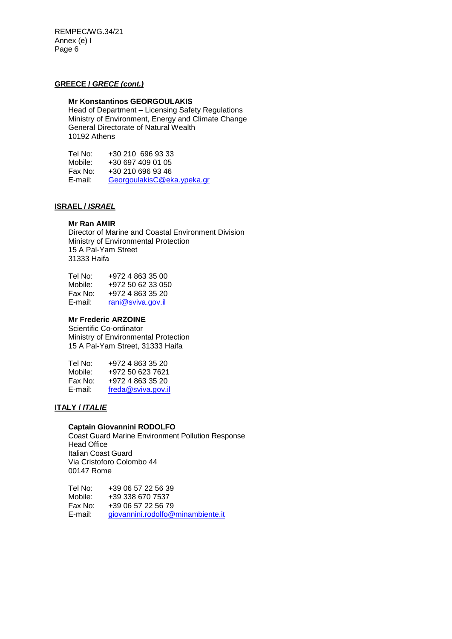## **GREECE /** *GRECE (cont.)*

# **Mr Konstantinos GEORGOULAKIS**

Head of Department – Licensing Safety Regulations Ministry of Environment, Energy and Climate Change General Directorate of Natural Wealth 10192 Athens

Tel No: +30 210 696 93 33<br>Mobile: +30 697 409 01 05 Mobile: +30 697 409 01 05<br>Fax No: +30 210 696 93 46 Fax No: +30 210 696 93 46<br>E-mail: GeorgoulakisC@ek [GeorgoulakisC@eka.ypeka.gr](mailto:GeorgoulakisC@eka.ypeka.gr)

# **ISRAEL /** *ISRAEL*

#### **Mr Ran AMIR**

Director of Marine and Coastal Environment Division Ministry of Environmental Protection 15 A Pal-Yam Street 31333 Haifa

| Tel No: | +972 4 863 35 00  |
|---------|-------------------|
| Mobile: | +972 50 62 33 050 |
| Fax No: | +972 4 863 35 20  |
| E-mail: | rani@sviva.gov.il |

## **Mr Frederic ARZOINE**

Scientific Co-ordinator Ministry of Environmental Protection 15 A Pal-Yam Street, 31333 Haifa

| Tel No: | +972 4 863 35 20   |
|---------|--------------------|
| Mobile: | +972 50 623 7621   |
| Fax No: | +972 4 863 35 20   |
| E-mail: | freda@sviva.gov.il |

# **ITALY /** *ITALIE*

## **Captain Giovannini RODOLFO**

Coast Guard Marine Environment Pollution Response Head Office Italian Coast Guard Via Cristoforo Colombo 44 00147 Rome

Tel No: +39 06 57 22 56 39<br>Mobile: +39 338 670 7537 Mobile: +39 338 670 7537<br>Fax No: +39 06 57 22 56 79 +39 06 57 22 56 79 E-mail: [giovannini.rodolfo@minambiente.it](mailto:giovannini.rodolfo@minambiente.it)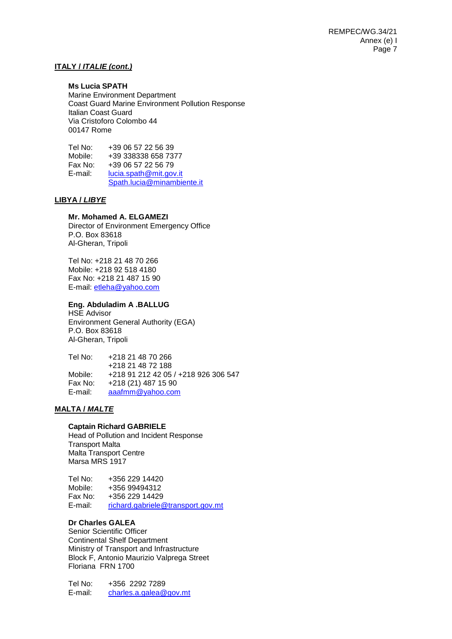## **ITALY /** *ITALIE (cont.)*

#### **Ms Lucia SPATH**

Marine Environment Department Coast Guard Marine Environment Pollution Response Italian Coast Guard Via Cristoforo Colombo 44 00147 Rome

Tel No: +39 06 57 22 56 39<br>Mobile: +39 338338 658 73 Mobile: +39 338338 658 7377 Fax No: +39 06 57 22 56 79 E-mail: [lucia.spath@mit.gov.it](mailto:lucia.spath@mit.gov.it) [Spath.lucia@minambiente.it](mailto:Spath.lucia@minambiente.it)

#### **LIBYA /** *LIBYE*

## **Mr. Mohamed A. ELGAMEZI**

Director of Environment Emergency Office P.O. Box 83618 Al-Gheran, Tripoli

Tel No: +218 21 48 70 266 Mobile: +218 92 518 4180 Fax No: +218 21 487 15 90 E-mail: [etleha@yahoo.com](mailto:etleha@yahoo.com)

## **Eng. Abduladim A .BALLUG**

HSE Advisor Environment General Authority (EGA) P.O. Box 83618 Al-Gheran, Tripoli

Tel No: +218 21 48 70 266 +218 21 48 72 188 Mobile: +218 91 212 42 05 / +218 926 306 547 Fax No: +218 (21) 487 15 90 E-mail: [aaafmm@yahoo.com](mailto:aaafmm@yahoo.com)

## **MALTA /** *MALTE*

#### **Captain Richard GABRIELE**

Head of Pollution and Incident Response Transport Malta Malta Transport Centre Marsa MRS 1917

Tel No: +356 229 14420 Mobile: +356 99494312 Fax No: +356 229 14429 E-mail: [richard.gabriele@transport.gov.mt](mailto:richard.gabriele@transport.gov.mt)

# **Dr Charles GALEA**

Senior Scientific Officer Continental Shelf Department Ministry of Transport and Infrastructure Block F, Antonio Maurizio Valprega Street Floriana FRN 1700

Tel No: +356 2292 7289 E-mail: [charles.a.galea@gov.mt](mailto:charles.a.galea@gov.mt)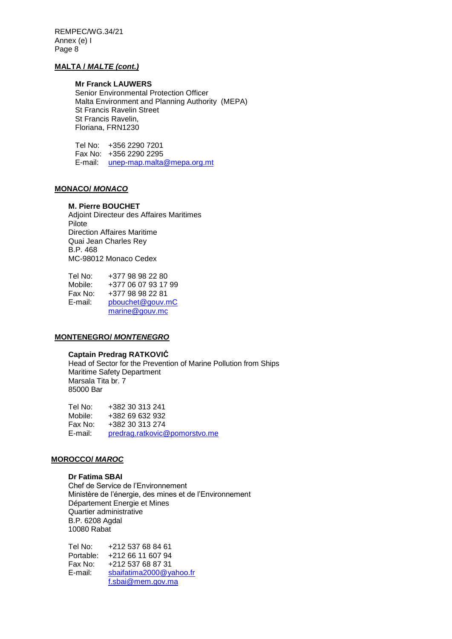## **MALTA /** *MALTE (cont.)*

## **Mr Franck LAUWERS**

Senior Environmental Protection Officer Malta Environment and Planning Authority (MEPA) St Francis Ravelin Street St Francis Ravelin, Floriana, FRN1230

Tel No: +356 2290 7201 Fax No: +356 2290 2295 E-mail: [unep-map.malta@mepa.org.mt](mailto:unep-map.malta@mepa.org.mt)

## **MONACO/** *MONACO*

## **M. Pierre BOUCHET**

Adjoint Directeur des Affaires Maritimes Pilote Direction Affaires Maritime Quai Jean Charles Rey B.P. 468 MC-98012 Monaco Cedex

| Tel No: | +377 98 98 22 80    |
|---------|---------------------|
| Mobile: | +377 06 07 93 17 99 |
| Fax No: | +377 98 98 22 81    |
| E-mail: | pbouchet@gouv.mC    |
|         | marine@gouv.mc      |

## **MONTENEGRO/** *MONTENEGRO*

## **Captain Predrag RATKOVIĆ**

Head of Sector for the Prevention of Marine Pollution from Ships Maritime Safety Department Marsala Tita br. 7 85000 Bar

Tel No: +382 30 313 241 Mobile: +382 69 632 932 Fax No: +382 30 313 274 E-mail: [predrag.ratkovic@pomorstvo.me](mailto:predrag.ratkovic@pomorstvo.me)

#### **MOROCCO/** *MAROC*

#### **Dr Fatima SBAI**

Chef de Service de l'Environnement Ministère de l'énergie, des mines et de l'Environnement Département Energie et Mines Quartier administrative B.P. 6208 Agdal 10080 Rabat

Tel No: +212 537 68 84 61 Portable: +212 66 11 607 94 Fax No: +212 537 68 87 31 E-mail: [sbaifatima2000@yahoo.fr](mailto:sbaifatima2000@yahoo.fr) [f.sbai@mem.gov.ma](mailto:f.sbai@mem.gov.ma)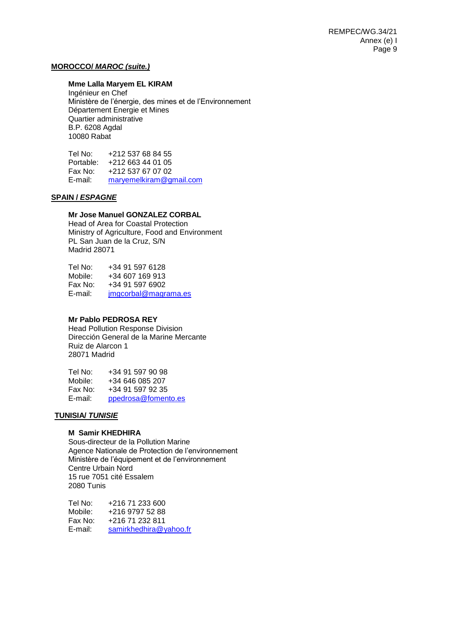## **MOROCCO/** *MAROC (suite.)*

# **Mme Lalla Maryem EL KIRAM**

Ingénieur en Chef Ministère de l'énergie, des mines et de l'Environnement Département Energie et Mines Quartier administrative B.P. 6208 Agdal 10080 Rabat

Tel No: +212 537 68 84 55 Portable: +212 663 44 01 05 Fax No: +212 537 67 07 02<br>E-mail: marvemelkiram@gr maryemelkiram@gmail.com

## **SPAIN /** *ESPAGNE*

## **Mr Jose Manuel GONZALEZ CORBAL**

Head of Area for Coastal Protection Ministry of Agriculture, Food and Environment PL San Juan de la Cruz, S/N Madrid 28071

| Tel No: | +34 91 597 6128      |
|---------|----------------------|
| Mobile: | +34 607 169 913      |
| Fax No: | $+34915976902$       |
| E-mail: | jmgcorbal@magrama.es |

## **Mr Pablo PEDROSA REY**

Head Pollution Response Division Dirección General de la Marine Mercante Ruiz de Alarcon 1 28071 Madrid

| Tel No: | +34 91 597 90 98    |
|---------|---------------------|
| Mobile: | +34 646 085 207     |
| Fax No: | +34 91 597 92 35    |
| E-mail: | ppedrosa@fomento.es |

#### **TUNISIA/** *TUNISIE*

#### **M Samir KHEDHIRA**

Sous-directeur de la Pollution Marine Agence Nationale de Protection de l'environnement Ministère de l'équipement et de l'environnement Centre Urbain Nord 15 rue 7051 cité Essalem 2080 Tunis

Tel No: +216 71 233 600<br>Mobile: +216 9797 52 88 +216 9797 52 88 Fax No: +216 71 232 811 E-mail: [samirkhedhira@yahoo.fr](mailto:samirkhedhira@yahoo.fr)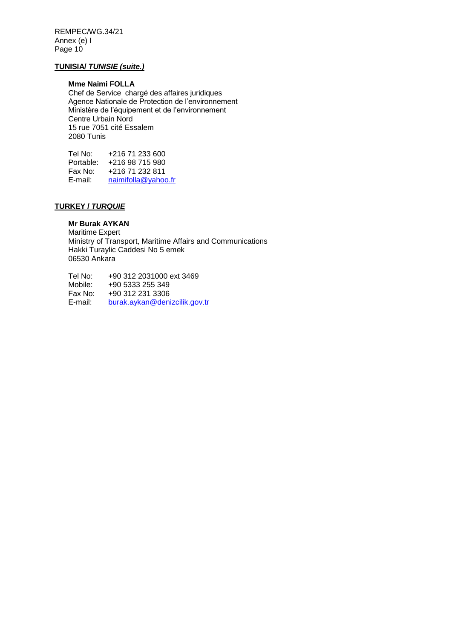## **TUNISIA/** *TUNISIE (suite.)*

## **Mme Naimi FOLLA**

Chef de Service chargé des affaires juridiques Agence Nationale de Protection de l'environnement Ministère de l'équipement et de l'environnement Centre Urbain Nord 15 rue 7051 cité Essalem 2080 Tunis

Tel No: +216 71 233 600 Portable: +216 98 715 980 Fax No: +216 71 232 811<br>E-mail: naimifolla@yahoo [naimifolla@yahoo.fr](mailto:naimifolla@yahoo.fr)

# **TURKEY /** *TURQUIE*

## **Mr Burak AYKAN**

Maritime Expert Ministry of Transport, Maritime Affairs and Communications Hakki Turaylic Caddesi No 5 emek 06530 Ankara

Tel No: +90 312 2031000 ext 3469<br>Mobile: +90 5333 255 349 +90 5333 255 349 Fax No: +90 312 231 3306 E-mail: [burak.aykan@denizcilik.gov.tr](mailto:burak.aykan@denizcilik.gov.tr)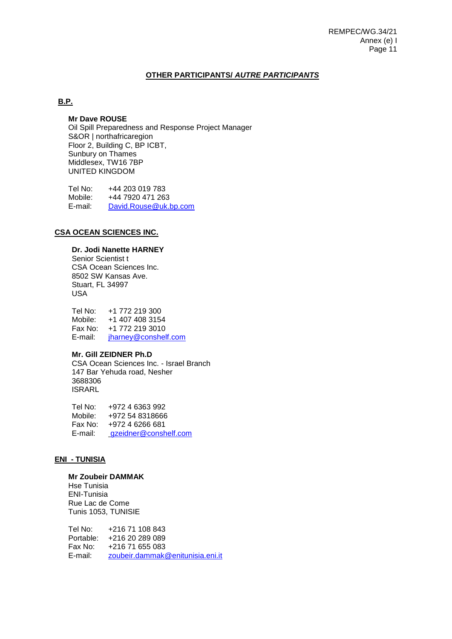# **OTHER PARTICIPANTS/** *AUTRE PARTICIPANTS*

# **B.P.**

## **Mr Dave ROUSE**

Oil Spill Preparedness and Response Project Manager S&OR | northafricaregion Floor 2, Building C, BP ICBT, Sunbury on Thames Middlesex, TW16 7BP UNITED KINGDOM

Tel No: +44 203 019 783<br>Mobile: +44 7920 471 263 +44 7920 471 263 E-mail: [David.Rouse@uk.bp.com](mailto:David.Rouse@uk.bp.com) 

## **CSA OCEAN SCIENCES INC.**

# **Dr. Jodi Nanette HARNEY**

Senior Scientist t CSA Ocean Sciences Inc. 8502 SW Kansas Ave. Stuart, FL 34997 USA

Tel No: +1 772 219 300 Mobile: +1 407 408 3154 Fax No: +1 772 219 3010 E-mail: [jharney@conshelf.com](mailto:jharney@conshelf.com)

## **Mr. Gill ZEIDNER Ph.D**

CSA Ocean Sciences Inc. - Israel Branch 147 Bar Yehuda road, Nesher 3688306 ISRARL

Tel No: +972 4 6363 992 Mobile: +972 54 8318666 Fax No: +972 4 6266 681 E-mail: [gzeidner@conshelf.com](mailto:gzeidner@conshelf.com)

#### **ENI - TUNISIA**

# **Mr Zoubeir DAMMAK**

Hse Tunisia ENI-Tunisia Rue Lac de Come Tunis 1053, TUNISIE

Tel No: +216 71 108 843 Portable: +216 20 289 089<br>Fax No: +216 71 655 083 +216 71 655 083 E-mail: [zoubeir.dammak@enitunisia.eni.it](mailto:zoubeir.dammak@enitunisia.eni.it)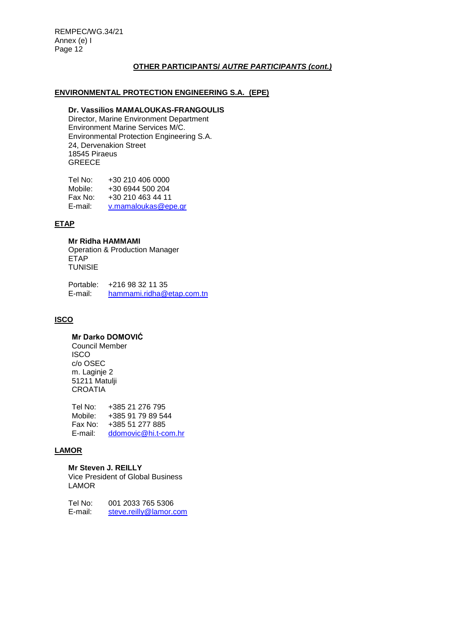# **OTHER PARTICIPANTS/** *AUTRE PARTICIPANTS (cont.)*

## **ENVIRONMENTAL PROTECTION ENGINEERING S.A. (EPE)**

## **Dr. Vassilios MAMALOUKAS-FRANGOULIS**

Director, Marine Environment Department Environment Marine Services M/C. Environmental Protection Engineering S.A. 24, Dervenakion Street 18545 Piraeus GREECE

| Tel No: | +30 210 406 0000    |
|---------|---------------------|
| Mobile: | +30 6944 500 204    |
| Fax No: | +30 210 463 44 11   |
| E-mail: | v.mamaloukas@epe.gr |

## **ETAP**

#### **Mr Ridha HAMMAMI**

Operation & Production Manager **ETAP** TUNISIE

Portable: +216 98 32 11 35 E-mail: [hammami.ridha@etap.com.tn](mailto:hammami.ridha@etap.com.tn)

# **ISCO**

# **Mr Darko DOMOVIĆ**

Council Member **ISCO** c/o OSEC m. Laginje 2 51211 Matulji **CROATIA** 

Tel No: +385 21 276 795 Mobile: +385 91 79 89 544 Fax No: +385 51 277 885 E-mail: [ddomovic@hi.t-com.hr](mailto:ddomovic@hi.t-com.hr)

## **LAMOR**

# **Mr Steven J. REILLY**

Vice President of Global Business LAMOR

Tel No: 001 2033 765 5306<br>E-mail: steve.reilly@lamor.o [steve.reilly@lamor.com](mailto:steve.reilly@lamor.com)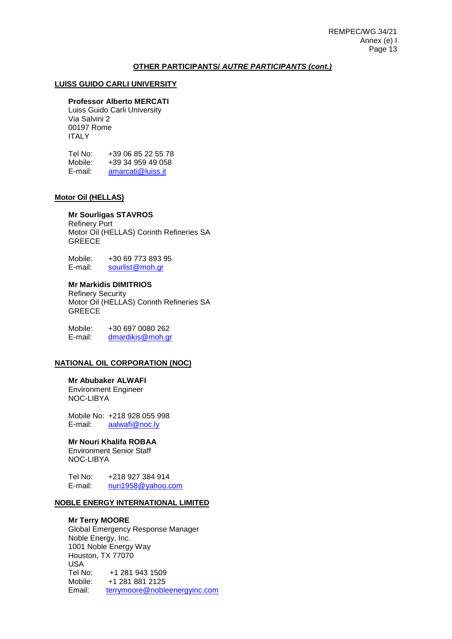### **OTHER PARTICIPANTS/** *AUTRE PARTICIPANTS (cont.)*

## **LUISS GUIDO CARLI UNIVERSITY**

#### **Professor Alberto MERCATI**

Luiss Guido Carli University Via Salvini 2 00197 Rome ITALY

| Tel No: | +39 06 85 22 55 78 |
|---------|--------------------|
| Mobile: | +39 34 959 49 058  |
| E-mail: | amarcati@luiss.it  |

#### **Motor Oil (HELLAS)**

## **Mr Sourligas STAVROS**

Refinery Port Motor Oil (HELLAS) Corinth Refineries SA **GREECE** 

Mobile: +30 69 773 893 95 E-mail: [sourlist@moh.gr](mailto:sourlist@moh.gr)

#### **Mr Markidis DIMITRIOS**

Refinery Security Motor Oil (HELLAS) Corinth Refineries SA **GREECE** 

Mobile:  $+30\,697\,0080\,262$ <br>E-mail: dmardikis@moh.gr [dmardikis@moh.gr](mailto:dmardikis@moh.gr)

# **NATIONAL OIL CORPORATION (NOC)**

**Mr Abubaker ALWAFI**  Environment Engineer NOC-LIBYA

Mobile No: +218 928 055 998 E-mail: [aalwafi@noc.ly](mailto:aalwafi@noc.ly)

## **Mr Nouri Khalifa ROBAA**

Environment Senior Staff NOC-LIBYA

Tel No: +218 927 384 914 E-mail: [nuri1958@yahoo.com](mailto:nuri1958@yahoo.com)

# **NOBLE ENERGY INTERNATIONAL LIMITED**

## **Mr Terry MOORE**

Global Emergency Response Manager Noble Energy, Inc. 1001 Noble Energy Way Houston, TX 77070 USA Tel No: +1 281 943 1509 Mobile: +1 281 881 2125 Email: [terrymoore@nobleenergyinc.com](mailto:terrymoore@nobleenergyinc.com)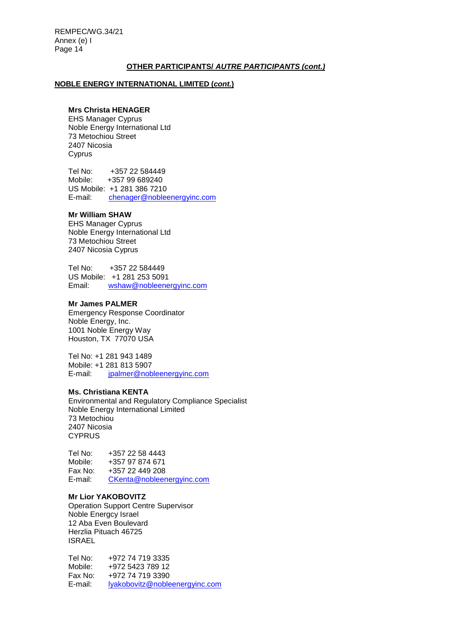### **OTHER PARTICIPANTS/** *AUTRE PARTICIPANTS (cont.)*

#### **NOBLE ENERGY INTERNATIONAL LIMITED (***cont.***)**

## **Mrs Christa HENAGER**

EHS Manager Cyprus Noble Energy International Ltd 73 Metochiou Street 2407 Nicosia Cyprus

Tel No: +357 22 584449<br>Mobile: +357 99 689240 +357 99 689240 US Mobile: +1 281 386 7210 E-mail: [chenager@nobleenergyinc.com](mailto:chenager@nobleenergyinc.com)

# **Mr William SHAW**

EHS Manager Cyprus Noble Energy International Ltd 73 Metochiou Street 2407 Nicosia Cyprus

Tel No: +357 22 584449 US Mobile:  $+1$  281 253 5091<br>Email: wshaw@nobleene [wshaw@nobleenergyinc.com](mailto:wshaw@nobleenergyinc.com)

## **Mr James PALMER**

Emergency Response Coordinator Noble Energy, Inc. 1001 Noble Energy Way Houston, TX 77070 USA

Tel No: +1 281 943 1489 Mobile: +1 281 813 5907 E-mail: [jpalmer@nobleenergyinc.com](mailto:jpalmer@nobleenergyinc.com)

#### **Ms. Christiana KENTA**

Environmental and Regulatory Compliance Specialist Noble Energy International Limited 73 Metochiou 2407 Nicosia **CYPRUS** 

Tel No: +357 22 58 4443 Mobile: +357 97 874 671 Fax No: +357 22 449 208 E-mail: [CKenta@nobleenergyinc.com](mailto:CKenta@nobleenergyinc.com)

# **Mr Lior YAKOBOVITZ**

Operation Support Centre Supervisor Noble Energcy Israel 12 Aba Even Boulevard Herzlia Pituach 46725 ISRAEL

Tel No: +972 74 719 3335 Mobile: +972 5423 789 12 Fax No: +972 74 719 3390 E-mail: [lyakobovitz@nobleenergyinc.com](mailto:lyakobovitz@nobleenergyinc.com)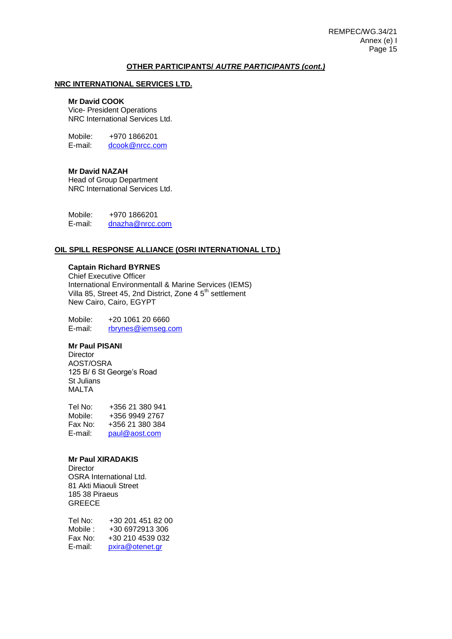### **OTHER PARTICIPANTS/** *AUTRE PARTICIPANTS (cont.)*

## **NRC INTERNATIONAL SERVICES LTD.**

#### **Mr David COOK**

Vice- President Operations NRC International Services Ltd.

Mobile:  $+970$  1866201<br>E-mail:  $\frac{d \cos \omega}{2 \pi}$ [dcook@nrcc.com](mailto:dcook@nrcc.com)

#### **Mr David NAZAH**

Head of Group Department NRC International Services Ltd.

Mobile: +970 1866201 E-mail: [dnazha@nrcc.com](mailto:dnazha@nrcc.com) 

## **OIL SPILL RESPONSE ALLIANCE (OSRI INTERNATIONAL LTD.)**

# **Captain Richard BYRNES**

Chief Executive Officer International Environmentall & Marine Services (IEMS) Villa 85, Street 45, 2nd District, Zone 4 5<sup>th</sup> settlement New Cairo, Cairo, EGYPT

Mobile: +20 1061 20 6660<br>E-mail: rbrynes@iemseq.c [rbrynes@iemseg.com](mailto:rbrynes@iemseg.com)

## **Mr Paul PISANI**

**Director** AOST/OSRA 125 B/ 6 St George's Road St Julians MALTA

Tel No: +356 21 380 941 Mobile: +356 9949 2767 Fax No: +356 21 380 384 E-mail: [paul@aost.com](mailto:paul@aost.com)

#### **Mr Paul XIRADAKIS**

**Director** OSRA International Ltd. 81 Akti Miaouli Street 185 38 Piraeus **GREECE** 

| Tel No:  | +30 201 451 82 00 |
|----------|-------------------|
| Mobile : | +30 6972913 306   |
| Fax No:  | +30 210 4539 032  |
| E-mail:  | pxira@otenet.gr   |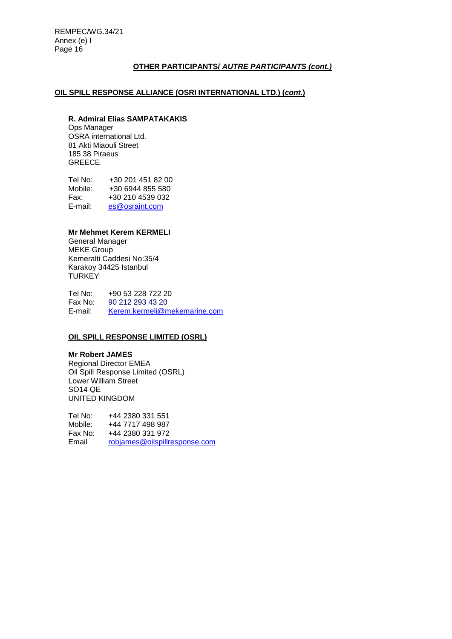# **OTHER PARTICIPANTS/** *AUTRE PARTICIPANTS (cont.)*

# **OIL SPILL RESPONSE ALLIANCE (OSRI INTERNATIONAL LTD.) (***cont***.)**

#### **R. Admiral Elias SAMPATAKAKIS**

Ops Manager OSRA international Ltd. 81 Akti Miaouli Street 185 38 Piraeus GREECE

Tel No: +30 201 451 82 00<br>Mobile: +30 6944 855 580 Mobile: +30 6944 855 580<br>Fax: +30 210 4539 032 Fax: +30 210 4539 032<br>E-mail: es@osraint.com [es@osraint.com](mailto:es@osraint.com)

## **Mr Mehmet Kerem KERMELI**

General Manager MEKE Group Kemeralti Caddesi No:35/4 Karakoy 34425 Istanbul **TURKEY** 

Tel No: +90 53 228 722 20 Fax No: 90 212 293 43 20<br>E-mail: Kerem.kermeli@m [Kerem.kermeli@mekemarine.com](mailto:Kerem.kermeli@mekemarine.com)

## **OIL SPILL RESPONSE LIMITED (OSRL)**

## **Mr Robert JAMES**

Regional Director EMEA Oil Spill Response Limited (OSRL) Lower William Street SO14 QE UNITED KINGDOM

Tel No: +44 2380 331 551<br>Mobile: +44 7717 498 987 Mobile: +44 7717 498 987<br>Fax No: +44 2380 331 972 +44 2380 331 972 Email [robjames@oilspillresponse.com](mailto:robjames@oilspillresponse.com)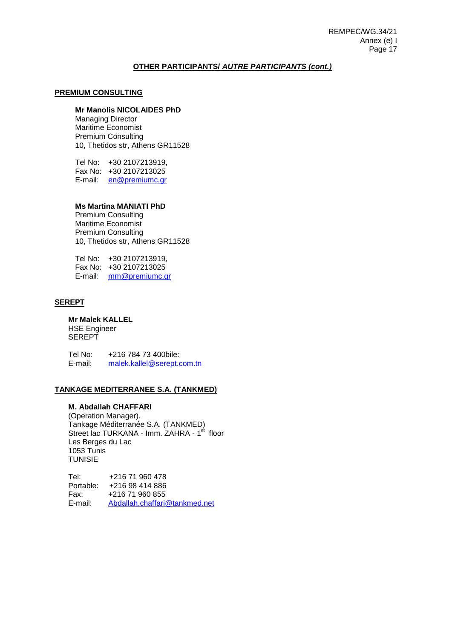## **OTHER PARTICIPANTS/** *AUTRE PARTICIPANTS (cont.)*

## **PREMIUM CONSULTING**

# **Mr Manolis NICOLAIDES PhD**

Managing Director Maritime Economist Premium Consulting 10, Thetidos str, Athens GR11528

Tel No: +30 2107213919, Fax No: +30 2107213025 E-mail: [en@premiumc.gr](mailto:en@premiumc.gr)

## **Ms Martina MANIATI PhD**

Premium Consulting Maritime Economist Premium Consulting 10, Thetidos str, Athens GR11528

Tel No: +30 2107213919, Fax No: +30 2107213025 E-mail: [mm@premiumc.gr](mailto:mm@premiumc.gr)

#### **SEREPT**

# **Mr Malek KALLEL**

HSE Engineer **SEREPT** 

Tel No: +216 784 73 400bile:<br>E-mail: malek.kallel@serept.c [malek.kallel@serept.com.tn](mailto:malek.kallel@serept.com.tn)

## **TANKAGE MEDITERRANEE S.A. (TANKMED)**

#### **M. Abdallah CHAFFARI**

(Operation Manager). Tankage Méditerranée S.A. (TANKMED) Street lac TURKANA - Imm. ZAHRA - 1<sup>st</sup> floor Les Berges du Lac 1053 Tunis TUNISIE

Tel: +216 71 960 478 Portable: +216 98 414 886 Fax: +216 71 960 855 E-mail: [Abdallah.chaffari@tankmed.net](mailto:Abdallah.chaffari@tankmed.net)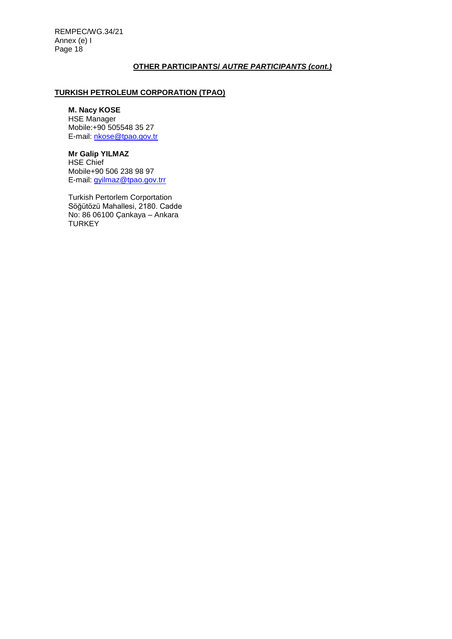## **OTHER PARTICIPANTS/** *AUTRE PARTICIPANTS (cont.)*

# **TURKISH PETROLEUM CORPORATION (TPAO)**

## **M. Nacy KOSE**

HSE Manager Mobile:+90 505548 35 27 E-mail: [nkose@tpao.gov.tr](mailto:nkose@tpao.gov.tr)

# **Mr Galip YILMAZ**

HSE Chief Mobile+90 506 238 98 97 E-mail: [gyilmaz@tpao.gov.trr](mailto:gyilmaz@tpao.gov.trr)

Turkish Pertorlem Corportation Söğütözü Mahallesi, 2180. Cadde No: 86 06100 Çankaya – Ankara **TURKEY**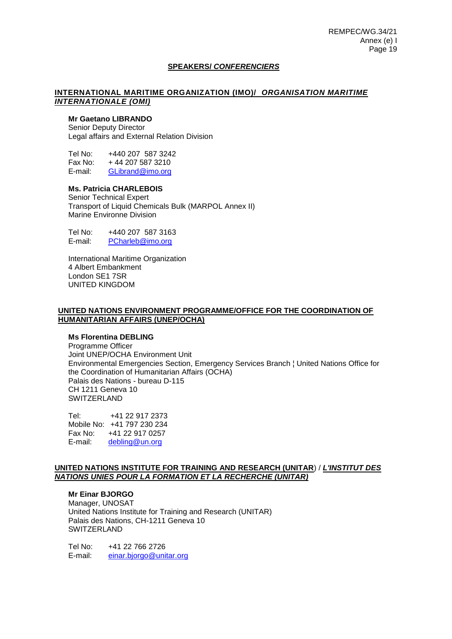## **SPEAKERS/** *CONFERENCIERS*

#### **INTERNATIONAL MARITIME ORGANIZATION (IMO)/** *ORGANISATION MARITIME INTERNATIONALE (OMI)*

## **Mr Gaetano LIBRANDO**

Senior Deputy Director Legal affairs and External Relation Division

Tel No: +440 207 587 3242<br>Fax No: +44 207 587 3210  $+ 44 207 587 3210$ E-mail: [GLibrand@imo.org](mailto:GLibrand@imo.org)

# **Ms. Patricia CHARLEBOIS**

Senior Technical Expert Transport of Liquid Chemicals Bulk (MARPOL Annex II) Marine Environne Division

Tel No: +440 207 587 3163 E-mail: [PCharleb@imo.org](mailto:PCharleb@imo.org)

International Maritime Organization 4 Albert Embankment London SE1 7SR UNITED KINGDOM

#### **UNITED NATIONS ENVIRONMENT PROGRAMME/OFFICE FOR THE COORDINATION OF HUMANITARIAN AFFAIRS (UNEP/OCHA)**

## **Ms Florentina DEBLING**

Programme Officer Joint UNEP/OCHA Environment Unit Environmental Emergencies Section, Emergency Services Branch ¦ United Nations Office for the Coordination of Humanitarian Affairs (OCHA) Palais des Nations - bureau D-115 CH 1211 Geneva 10 SWITZERLAND

Tel: [+41 22 917 2373](tel:%2B41%2022%20917%201747) Mobile No: +41 797 230 234 Fax No: [+41 22 917 0257](tel:%2B41%2022%20917%200257) E-mail: [debling@un.org](mailto:debling@un.org)

## **UNITED NATIONS INSTITUTE FOR TRAINING AND RESEARCH (UNITAR**) / *L'INSTITUT DES NATIONS UNIES POUR LA FORMATION ET LA RECHERCHE (UNITAR)*

## **Mr Einar BJORGO**

Manager, UNOSAT United Nations Institute for Training and Research (UNITAR) Palais des Nations, CH-1211 Geneva 10 SWITZERLAND

Tel No: +41 22 766 2726 E-mail: [einar.bjorgo@unitar.org](mailto:einar.bjorgo@unitar.org%3cmailto:einar.bjorgo@unitar.org)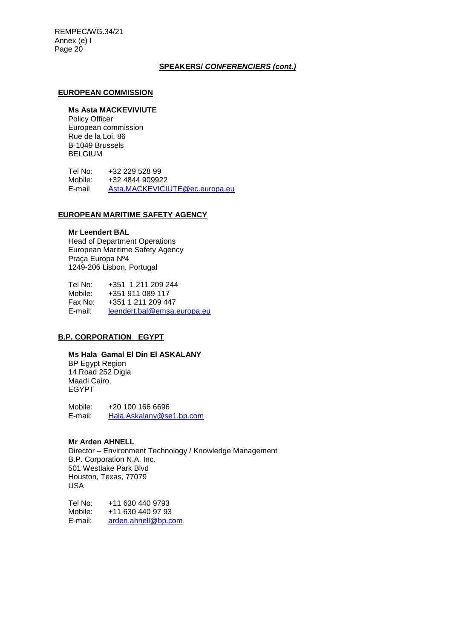## **SPEAKERS/** *CONFERENCIERS (cont.)*

#### **EUROPEAN COMMISSION**

## **Ms Asta MACKEVIVIUTE**

Policy Officer European commission Rue de la Loi, 86 B-1049 Brussels **BELGIUM** 

Tel No: +32 229 528 99<br>Mobile: +32 4844 90992 Mobile: +32 4844 909922<br>E-mail Asta.MACKEVICIU [Asta.MACKEVICIUTE@ec.europa.eu](mailto:Asta.MACKEVICIUTE@ec.europa.eu)

#### **EUROPEAN MARITIME SAFETY AGENCY**

## **Mr Leendert BAL**

Head of Department Operations European Maritime Safety Agency Praça Europa Nº4 1249-206 Lisbon, Portugal

Tel No: +351 1 211 209 244 Mobile: +351 911 089 117 Fax No: +351 1 211 209 447 E-mail: [leendert.bal@emsa.europa.eu](mailto:leendert.bal@emsa.europa.eu)

## **B.P. CORPORATION EGYPT**

**Ms Hala Gamal El Din El ASKALANY** BP Egypt Region 14 Road 252 Digla Maadi Cairo, EGYPT

Mobile: +20 100 166 6696 E-mail: [Hala.Askalany@se1.bp.com](mailto:Hala.Askalany@se1.bp.com)

#### **Mr Arden AHNELL**

Director – Environment Technology / Knowledge Management B.P. Corporation N.A. Inc. 501 Westlake Park Blvd Houston, Texas, 77079 USA

Tel No: +11 630 440 9793<br>Mobile: +11 630 440 97 93 Mobile: +11 630 440 97 93<br>E-mail: arden.ahnell@bp.c [arden.ahnell@bp.com](mailto:arden.ahnell@bp.com)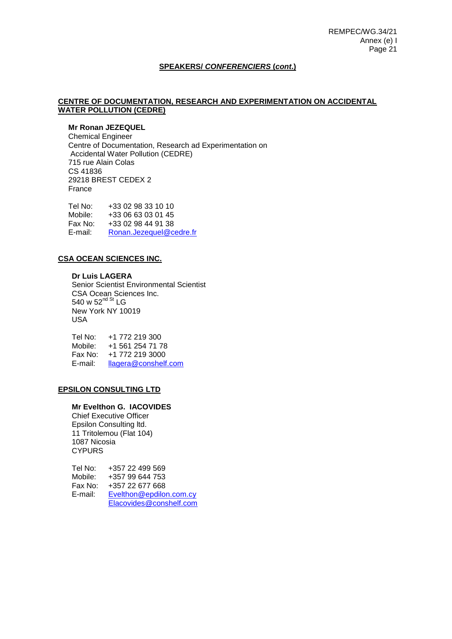## **SPEAKERS/** *CONFERENCIERS* **(***cont***.)**

## **CENTRE OF DOCUMENTATION, RESEARCH AND EXPERIMENTATION ON ACCIDENTAL WATER POLLUTION (CEDRE)**

# **Mr Ronan JEZEQUEL**

Chemical Engineer Centre of Documentation, Research ad Experimentation on Accidental Water Pollution (CEDRE) 715 rue Alain Colas CS 41836 29218 BREST CEDEX 2 France

Tel No: +33 02 98 33 10 10 Mobile: +33 06 63 03 01 45 Fax No: +33 02 98 44 91 38 E-mail: [Ronan.Jezequel@cedre.fr](mailto:Ronan.Jezequel@cedre.fr)

## **CSA OCEAN SCIENCES INC.**

**Dr Luis LAGERA** Senior Scientist Environmental Scientist CSA Ocean Sciences Inc. 540 w 52<sup>nd St</sup> LG New York NY 10019 USA

Tel No: +1 772 219 300 Mobile: +1 561 254 71 78 Fax No: +1 772 219 3000<br>E-mail: llagera@conshelf [llagera@conshelf.com](mailto:llagera@conshelf.com)

#### **EPSILON CONSULTING LTD**

#### **Mr Evelthon G. IACOVIDES**

Chief Executive Officer Epsilon Consulting ltd. 11 Tritolemou (Flat 104) 1087 Nicosia **CYPURS** 

| Tel No: | +357 22 499 569         |
|---------|-------------------------|
| Mobile: | +357 99 644 753         |
| Fax No: | +357 22 677 668         |
| E-mail: | Evelthon@epdilon.com.cy |
|         | Elacovides@conshelf.com |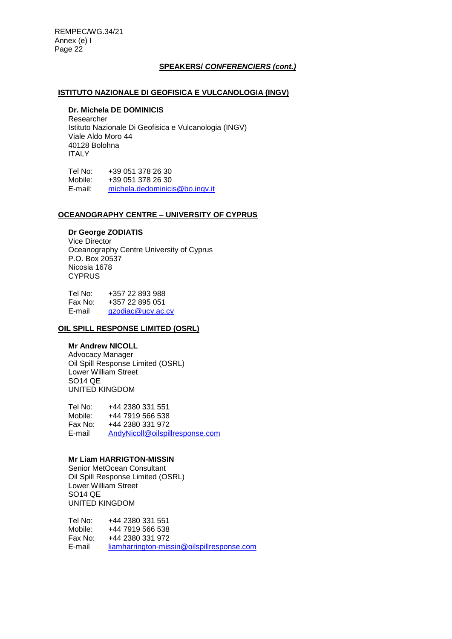## **SPEAKERS/** *CONFERENCIERS (cont.)*

## **ISTITUTO NAZIONALE DI GEOFISICA E VULCANOLOGIA (INGV)**

# **Dr. Michela DE DOMINICIS**

Researcher Istituto Nazionale Di Geofisica e Vulcanologia (INGV) Viale Aldo Moro 44 40128 Bolohna ITALY

Tel No: +39 051 378 26 30<br>Mobile: +39 051 378 26 30 Mobile: +39 051 378 26 30<br>E-mail: michela.dedominici: [michela.dedominicis@bo.ingv.it](mailto:michela.dedominicis@bo.ingv.it)

#### **OCEANOGRAPHY CENTRE – UNIVERSITY OF CYPRUS**

## **Dr George ZODIATIS**

Vice Director Oceanography Centre University of Cyprus P.O. Box 20537 Nicosia 1678 **CYPRUS** 

Tel No: +357 22 893 988 Fax No: +357 22 895 051 E-mail [gzodiac@ucy.ac.cy](mailto:gzodiac@ucy.ac.cy)

## **OIL SPILL RESPONSE LIMITED (OSRL)**

## **Mr Andrew NICOLL**

Advocacy Manager Oil Spill Response Limited (OSRL) Lower William Street SO14 QE UNITED KINGDOM

Tel No: +44 2380 331 551 Mobile: +44 7919 566 538 Fax No: +44 2380 331 972 E-mail [AndyNicoll@oilspillresponse.com](mailto:AndyNicoll@oilspillresponse.com)

#### **Mr Liam HARRIGTON-MISSIN**

Senior MetOcean Consultant Oil Spill Response Limited (OSRL) Lower William Street SO14 QE UNITED KINGDOM

Tel No: +44 2380 331 551 Mobile: +44 7919 566 538<br>Fax No: +44 2380 331 972 Fax No: +44 2380 331 972<br>F-mail liamharrington-mis [liamharrington-missin@oilspillresponse.com](mailto:liamharrington-missin@oilspillresponse.com)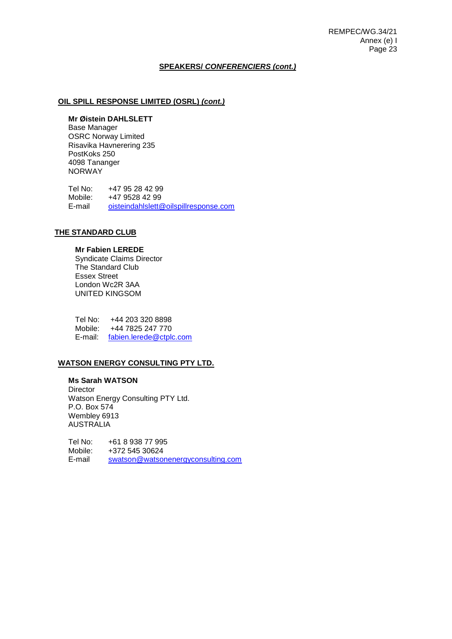#### **SPEAKERS/** *CONFERENCIERS (cont.)*

## **OIL SPILL RESPONSE LIMITED (OSRL)** *(cont.)*

#### **Mr Øistein DAHLSLETT**

Base Manager OSRC Norway Limited Risavika Havnerering 235 PostKoks 250 4098 Tananger NORWAY

Tel No: +47 95 28 42 99<br>Mobile: +47 9528 42 99 +47 9528 42 99 E-mail [oisteindahlslett@oilspillresponse.com](mailto:oisteindahlslett@oilspillresponse.com)

## **THE STANDARD CLUB**

#### **Mr Fabien LEREDE**

Syndicate Claims Director The Standard Club Essex Street London Wc2R 3AA UNITED KINGSOM

Tel No: +44 203 320 8898 Mobile: +44 7825 247 770 E-mail: [fabien.lerede@ctplc.com](mailto:fabien.lerede@ctplc.com)

## **WATSON ENERGY CONSULTING PTY LTD.**

**Ms Sarah WATSON Director** Watson Energy Consulting PTY Ltd. P.O. Box 574 Wembley 6913 AUSTRALIA

Tel No: +61 8 938 77 995 Mobile: +372 545 30624 E-mail [swatson@watsonenergyconsulting.com](mailto:swatson@watsonenergyconsulting.com)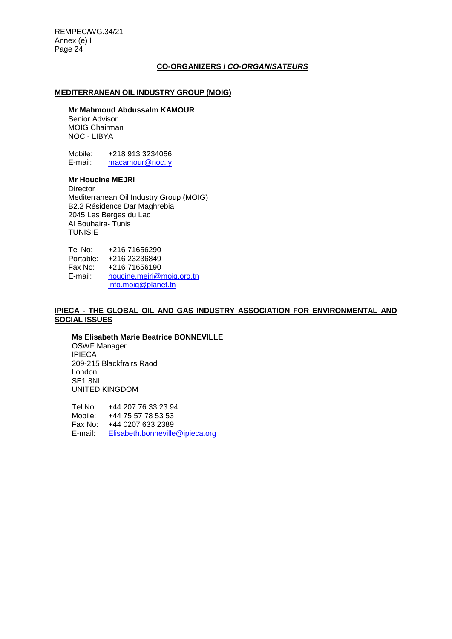## **CO-ORGANIZERS /** *CO-ORGANISATEURS*

## **MEDITERRANEAN OIL INDUSTRY GROUP (MOIG)**

#### **Mr Mahmoud Abdussalm KAMOUR**

Senior Advisor MOIG Chairman NOC - LIBYA

Mobile: +218 913 3234056<br>E-mail: macamour@noc.lv [macamour@noc.ly](mailto:macamour@noc.ly)

# **Mr Houcine MEJRI**

**Director** Mediterranean Oil Industry Group (MOIG) B2.2 Résidence Dar Maghrebia 2045 Les Berges du Lac Al Bouhaira- Tunis **TUNISIE** 

Tel No: +216 71656290 Portable: +216 23236849<br>Fax No: +216 71656190 +216 71656190 E-mail: [houcine.mejri@moig.org.tn](mailto:houcine.mejri@moig.org.tn) [info.moig@planet.tn](mailto:info.moig@planet.tn)

#### **IPIECA - THE GLOBAL OIL AND GAS INDUSTRY ASSOCIATION FOR ENVIRONMENTAL AND SOCIAL ISSUES**

**Ms Elisabeth Marie Beatrice BONNEVILLE** OSWF Manager IPIECA 209-215 Blackfrairs Raod London, SE1 8NL UNITED KINGDOM

Tel No: +44 207 76 33 23 94 Mobile: +44 75 57 78 53 53 Fax No: +44 0207 633 2389 E-mail: [Elisabeth.bonneville@ipieca.org](mailto:Elisabeth.bonneville@ipieca.org)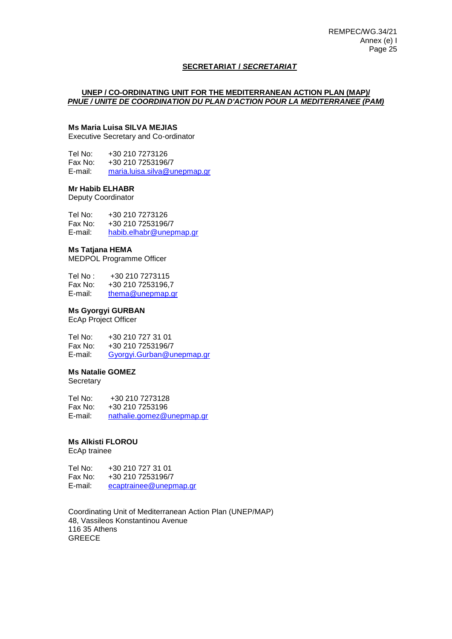## **SECRETARIAT /** *SECRETARIAT*

### **UNEP / CO-ORDINATING UNIT FOR THE MEDITERRANEAN ACTION PLAN (MAP)/** *PNUE / UNITE DE COORDINATION DU PLAN D'ACTION POUR LA MEDITERRANEE (PAM)*

# **Ms Maria Luisa SILVA MEJIAS**

Executive Secretary and Co-ordinator

Tel No: +30 210 7273126<br>Fax No: +30 210 7253196/ +30 210 7253196/7 E-mail: [maria.luisa.silva@unepmap.gr](mailto:maria.luisa.silva@unepmap.gr)

## **Mr Habib ELHABR**

Deputy Coordinator

Tel No: +30 210 7273126<br>Fax No: +30 210 7253196/ +30 210 7253196/7 E-mail: [habib.elhabr@unepmap.gr](mailto:habib.elhabr@unepmap.gr)

#### **Ms Tatjana HEMA**

MEDPOL Programme Officer

| Tel No : | +30 210 7273115   |
|----------|-------------------|
| Fax No:  | +30 210 7253196.7 |
| E-mail:  | thema@unepmap.gr  |

## **Ms Gyorgyi GURBAN**

EcAp Project Officer

Tel No: +30 210 727 31 01 Fax No: +30 210 7253196/7<br>F-mail: Gyorgyi Gurban@u [Gyorgyi.Gurban@unepmap.gr](mailto:Gyorgyi.Gurban@unepmap.gr)

## **Ms Natalie GOMEZ**

**Secretary** 

Tel No: +30 210 7273128 Fax No: +30 210 7253196 E-mail: [nathalie.gomez@unepmap.gr](mailto:nathalie.gomez@unepmap.gr)

## **Ms Alkisti FLOROU**

EcAp trainee

Tel No: +30 210 727 31 01 Fax No: +30 210 7253196/7 E-mail: [ecaptrainee@unepmap.gr](mailto:ecaptrainee@unepmap.gr)

Coordinating Unit of Mediterranean Action Plan (UNEP/MAP) 48, Vassileos Konstantinou Avenue 116 35 Athens **GREECE**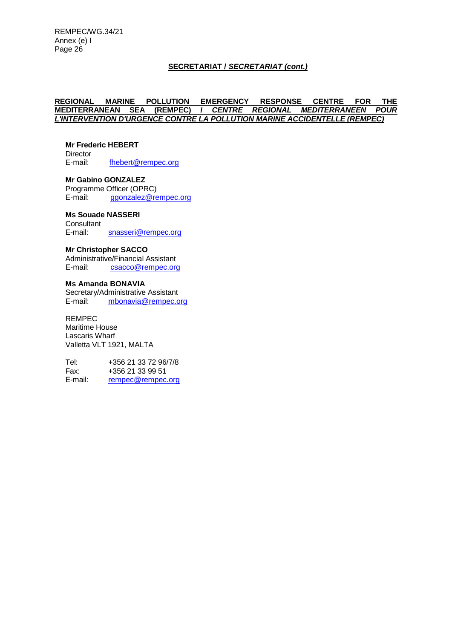## **SECRETARIAT /** *SECRETARIAT (cont.)*

## **REGIONAL MARINE POLLUTION EMERGENCY RESPONSE CENTRE FOR THE CENTRE REGIONAL MEDITERRANEEN POUR** *L'INTERVENTION D'URGENCE CONTRE LA POLLUTION MARINE ACCIDENTELLE (REMPEC)*

# **Mr Frederic HEBERT**  Director<br>E-mail:

[fhebert@rempec.org](mailto:fhebert@rempec.org)

**Mr Gabino GONZALEZ**  Programme Officer (OPRC)<br>E-mail: goonzalez@re [ggonzalez@rempec.org](mailto:ggonzalez@rempec.org)

# **Ms Souade NASSERI**

**Consultant** E-mail: [snasseri@rempec.org](mailto:snasseri@rempec.org)

#### **Mr Christopher SACCO**

Administrative/Financial Assistant E-mail: [csacco@rempec.org](mailto:csacco@rempec.org)

#### **Ms Amanda BONAVIA**

Secretary/Administrative Assistant E-mail: [mbonavia@rempec.org](mailto:mbonavia@rempec.org)

# REMPEC

Maritime House Lascaris Wharf Valletta VLT 1921, MALTA

Tel: +356 21 33 72 96/7/8 Fax: +356 21 33 99 51<br>E-mail: rempec@rempec [rempec@rempec.org](mailto:rempec@rempec.org)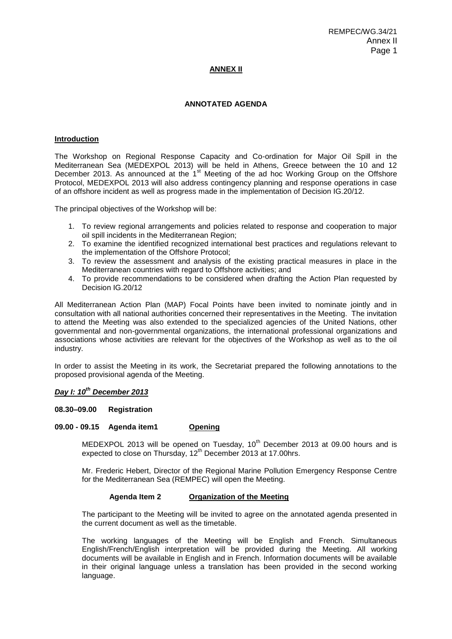## **ANNEX II**

## **ANNOTATED AGENDA**

#### **Introduction**

The Workshop on Regional Response Capacity and Co-ordination for Major Oil Spill in the Mediterranean Sea (MEDEXPOL 2013) will be held in Athens, Greece between the 10 and 12 December 2013. As announced at the  $1<sup>st</sup>$  Meeting of the ad hoc Working Group on the Offshore Protocol, MEDEXPOL 2013 will also address contingency planning and response operations in case of an offshore incident as well as progress made in the implementation of Decision IG.20/12.

The principal objectives of the Workshop will be:

- 1. To review regional arrangements and policies related to response and cooperation to major oil spill incidents in the Mediterranean Region;
- 2. To examine the identified recognized international best practices and regulations relevant to the implementation of the Offshore Protocol;
- 3. To review the assessment and analysis of the existing practical measures in place in the Mediterranean countries with regard to Offshore activities; and
- 4. To provide recommendations to be considered when drafting the Action Plan requested by Decision IG.20/12

All Mediterranean Action Plan (MAP) Focal Points have been invited to nominate jointly and in consultation with all national authorities concerned their representatives in the Meeting. The invitation to attend the Meeting was also extended to the specialized agencies of the United Nations, other governmental and non-governmental organizations, the international professional organizations and associations whose activities are relevant for the objectives of the Workshop as well as to the oil industry.

In order to assist the Meeting in its work, the Secretariat prepared the following annotations to the proposed provisional agenda of the Meeting.

# *Day I: 10th December 2013*

#### **08.30–09.00 Registration**

#### **09.00 - 09.15 Agenda item1 Opening**

MEDEXPOL 2013 will be opened on Tuesday,  $10<sup>th</sup>$  December 2013 at 09.00 hours and is expected to close on Thursday, 12<sup>th</sup> December 2013 at 17.00hrs.

Mr. Frederic Hebert, Director of the Regional Marine Pollution Emergency Response Centre for the Mediterranean Sea (REMPEC) will open the Meeting.

#### **Agenda Item 2 Organization of the Meeting**

The participant to the Meeting will be invited to agree on the annotated agenda presented in the current document as well as the timetable.

The working languages of the Meeting will be English and French. Simultaneous English/French/English interpretation will be provided during the Meeting. All working documents will be available in English and in French. Information documents will be available in their original language unless a translation has been provided in the second working language.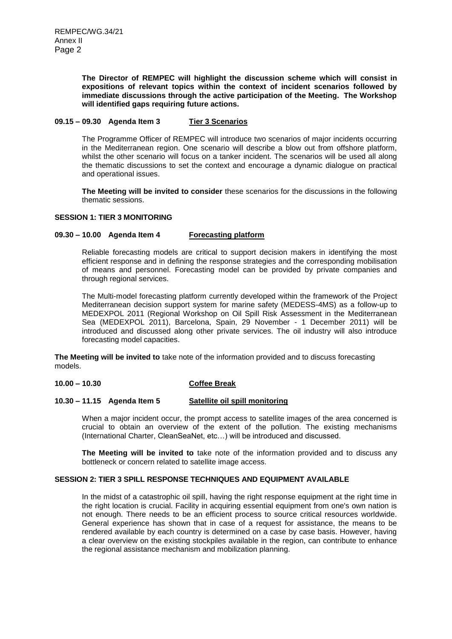**The Director of REMPEC will highlight the discussion scheme which will consist in expositions of relevant topics within the context of incident scenarios followed by immediate discussions through the active participation of the Meeting. The Workshop will identified gaps requiring future actions.** 

## **09.15 – 09.30 Agenda Item 3 Tier 3 Scenarios**

The Programme Officer of REMPEC will introduce two scenarios of major incidents occurring in the Mediterranean region. One scenario will describe a blow out from offshore platform, whilst the other scenario will focus on a tanker incident. The scenarios will be used all along the thematic discussions to set the context and encourage a dynamic dialogue on practical and operational issues.

**The Meeting will be invited to consider** these scenarios for the discussions in the following thematic sessions.

#### **SESSION 1: TIER 3 MONITORING**

## **09.30 – 10.00 Agenda Item 4 Forecasting platform**

Reliable forecasting models are critical to support decision makers in identifying the most efficient response and in defining the response strategies and the corresponding mobilisation of means and personnel. Forecasting model can be provided by private companies and through regional services.

The Multi-model forecasting platform currently developed within the framework of the Project Mediterranean decision support system for marine safety (MEDESS-4MS) as a follow-up to MEDEXPOL 2011 (Regional Workshop on Oil Spill Risk Assessment in the Mediterranean Sea (MEDEXPOL 2011), Barcelona, Spain, 29 November - 1 December 2011) will be introduced and discussed along other private services. The oil industry will also introduce forecasting model capacities.

**The Meeting will be invited to** take note of the information provided and to discuss forecasting models.

# **10.00 – 10.30 Coffee Break**

#### **10.30 – 11.15 Agenda Item 5 Satellite oil spill monitoring**

When a major incident occur, the prompt access to satellite images of the area concerned is crucial to obtain an overview of the extent of the pollution. The existing mechanisms (International Charter, CleanSeaNet, etc…) will be introduced and discussed.

**The Meeting will be invited to** take note of the information provided and to discuss any bottleneck or concern related to satellite image access.

## **SESSION 2: TIER 3 SPILL RESPONSE TECHNIQUES AND EQUIPMENT AVAILABLE**

In the midst of a catastrophic oil spill, having the right response equipment at the right time in the right location is crucial. Facility in acquiring essential equipment from one's own nation is not enough. There needs to be an efficient process to source critical resources worldwide. General experience has shown that in case of a request for assistance, the means to be rendered available by each country is determined on a case by case basis. However, having a clear overview on the existing stockpiles available in the region, can contribute to enhance the regional assistance mechanism and mobilization planning.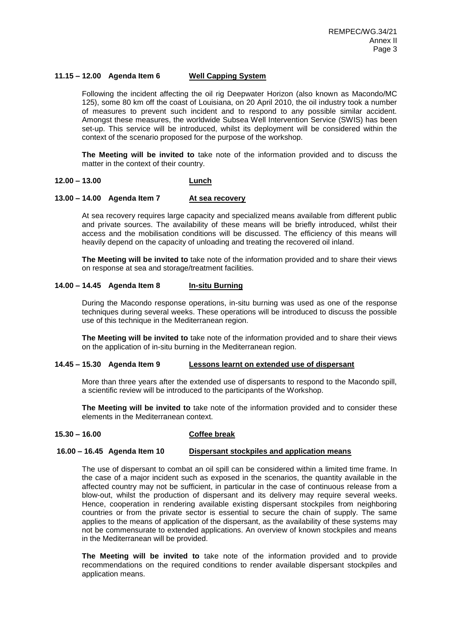## **11.15 – 12.00 Agenda Item 6 Well Capping System**

Following the incident affecting the oil rig Deepwater Horizon (also known as Macondo/MC 125), some 80 km off the coast of Louisiana, on 20 April 2010, the oil industry took a number of measures to prevent such incident and to respond to any possible similar accident. Amongst these measures, the worldwide Subsea Well Intervention Service (SWIS) has been set-up. This service will be introduced, whilst its deployment will be considered within the context of the scenario proposed for the purpose of the workshop.

**The Meeting will be invited to** take note of the information provided and to discuss the matter in the context of their country.

#### **12.00 – 13.00 Lunch**

#### **13.00 – 14.00 Agenda Item 7 At sea recovery**

At sea recovery requires large capacity and specialized means available from different public and private sources. The availability of these means will be briefly introduced, whilst their access and the mobilisation conditions will be discussed. The efficiency of this means will heavily depend on the capacity of unloading and treating the recovered oil inland.

**The Meeting will be invited to** take note of the information provided and to share their views on response at sea and storage/treatment facilities.

## **14.00 – 14.45 Agenda Item 8 In-situ Burning**

During the Macondo response operations, in-situ burning was used as one of the response techniques during several weeks. These operations will be introduced to discuss the possible use of this technique in the Mediterranean region.

**The Meeting will be invited to** take note of the information provided and to share their views on the application of in-situ burning in the Mediterranean region.

#### **14.45 – 15.30 Agenda Item 9 Lessons learnt on extended use of dispersant**

More than three years after the extended use of dispersants to respond to the Macondo spill, a scientific review will be introduced to the participants of the Workshop.

**The Meeting will be invited to** take note of the information provided and to consider these elements in the Mediterranean context.

#### **15.30 – 16.00 Coffee break**

#### **16.00 – 16.45 Agenda Item 10 Dispersant stockpiles and application means**

The use of dispersant to combat an oil spill can be considered within a limited time frame. In the case of a major incident such as exposed in the scenarios, the quantity available in the affected country may not be sufficient, in particular in the case of continuous release from a blow-out, whilst the production of dispersant and its delivery may require several weeks. Hence, cooperation in rendering available existing dispersant stockpiles from neighboring countries or from the private sector is essential to secure the chain of supply. The same applies to the means of application of the dispersant, as the availability of these systems may not be commensurate to extended applications. An overview of known stockpiles and means in the Mediterranean will be provided.

**The Meeting will be invited to** take note of the information provided and to provide recommendations on the required conditions to render available dispersant stockpiles and application means.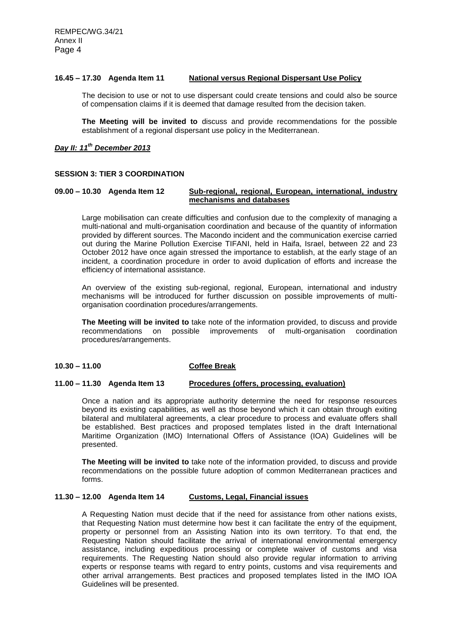## **16.45 – 17.30 Agenda Item 11 National versus Regional Dispersant Use Policy**

The decision to use or not to use dispersant could create tensions and could also be source of compensation claims if it is deemed that damage resulted from the decision taken.

**The Meeting will be invited to** discuss and provide recommendations for the possible establishment of a regional dispersant use policy in the Mediterranean.

## *Day II: 11 th December 2013*

#### **SESSION 3: TIER 3 COORDINATION**

## **09.00 – 10.30 Agenda Item 12 Sub-regional, regional, European, international, industry mechanisms and databases**

Large mobilisation can create difficulties and confusion due to the complexity of managing a multi-national and multi-organisation coordination and because of the quantity of information provided by different sources. The Macondo incident and the communication exercise carried out during the Marine Pollution Exercise TIFANI, held in Haifa, Israel, between 22 and 23 October 2012 have once again stressed the importance to establish, at the early stage of an incident, a coordination procedure in order to avoid duplication of efforts and increase the efficiency of international assistance.

An overview of the existing sub-regional, regional, European, international and industry mechanisms will be introduced for further discussion on possible improvements of multiorganisation coordination procedures/arrangements.

**The Meeting will be invited to** take note of the information provided, to discuss and provide recommendations on possible improvements of multi-organisation coordination procedures/arrangements.

## **10.30 – 11.00 Coffee Break**

## **11.00 – 11.30 Agenda Item 13 Procedures (offers, processing, evaluation)**

Once a nation and its appropriate authority determine the need for response resources beyond its existing capabilities, as well as those beyond which it can obtain through exiting bilateral and multilateral agreements, a clear procedure to process and evaluate offers shall be established. Best practices and proposed templates listed in the draft International Maritime Organization (IMO) International Offers of Assistance (IOA) Guidelines will be presented.

**The Meeting will be invited to** take note of the information provided, to discuss and provide recommendations on the possible future adoption of common Mediterranean practices and forms.

# **11.30 – 12.00 Agenda Item 14 Customs, Legal, Financial issues**

A Requesting Nation must decide that if the need for assistance from other nations exists, that Requesting Nation must determine how best it can facilitate the entry of the equipment, property or personnel from an Assisting Nation into its own territory. To that end, the Requesting Nation should facilitate the arrival of international environmental emergency assistance, including expeditious processing or complete waiver of customs and visa requirements. The Requesting Nation should also provide regular information to arriving experts or response teams with regard to entry points, customs and visa requirements and other arrival arrangements. Best practices and proposed templates listed in the IMO IOA Guidelines will be presented.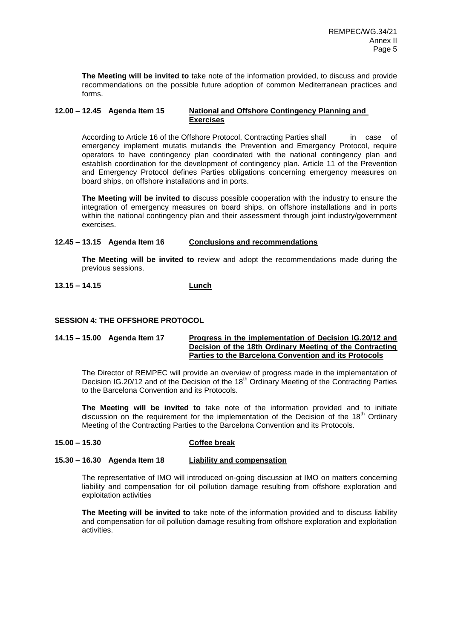**The Meeting will be invited to** take note of the information provided, to discuss and provide recommendations on the possible future adoption of common Mediterranean practices and forms.

## **12.00 – 12.45 Agenda Item 15 National and Offshore Contingency Planning and Exercises**

According to Article 16 of the Offshore Protocol, Contracting Parties shall in case of emergency implement mutatis mutandis the Prevention and Emergency Protocol, require operators to have contingency plan coordinated with the national contingency plan and establish coordination for the development of contingency plan. Article 11 of the Prevention and Emergency Protocol defines Parties obligations concerning emergency measures on board ships, on offshore installations and in ports.

**The Meeting will be invited to** discuss possible cooperation with the industry to ensure the integration of emergency measures on board ships, on offshore installations and in ports within the national contingency plan and their assessment through joint industry/government exercises.

# **12.45 – 13.15 Agenda Item 16 Conclusions and recommendations**

**The Meeting will be invited to** review and adopt the recommendations made during the previous sessions.

# **13.15 – 14.15 Lunch**

## **SESSION 4: THE OFFSHORE PROTOCOL**

## **14.15 – 15.00 Agenda Item 17 Progress in the implementation of Decision IG.20/12 and Decision of the 18th Ordinary Meeting of the Contracting Parties to the Barcelona Convention and its Protocols**

The Director of REMPEC will provide an overview of progress made in the implementation of Decision IG.20/12 and of the Decision of the 18<sup>th</sup> Ordinary Meeting of the Contracting Parties to the Barcelona Convention and its Protocols.

**The Meeting will be invited to** take note of the information provided and to initiate discussion on the requirement for the implementation of the Decision of the  $18<sup>th</sup>$  Ordinary Meeting of the Contracting Parties to the Barcelona Convention and its Protocols.

#### **15.00 – 15.30 Coffee break**

### **15.30 – 16.30 Agenda Item 18 Liability and compensation**

The representative of IMO will introduced on-going discussion at IMO on matters concerning liability and compensation for oil pollution damage resulting from offshore exploration and exploitation activities

**The Meeting will be invited to** take note of the information provided and to discuss liability and compensation for oil pollution damage resulting from offshore exploration and exploitation activities.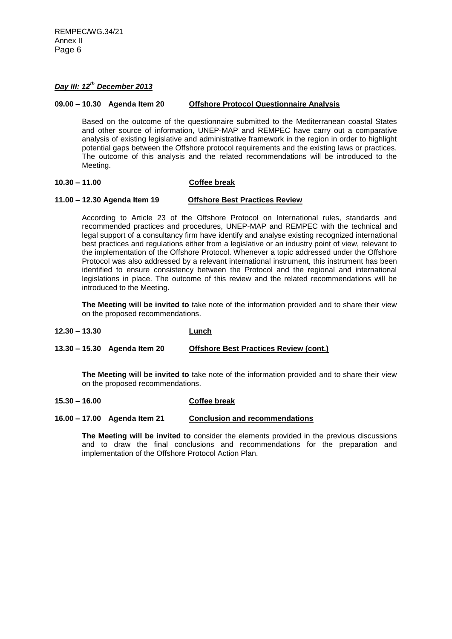# *Day III: 12th December 2013*

## **09.00 – 10.30 Agenda Item 20 Offshore Protocol Questionnaire Analysis**

Based on the outcome of the questionnaire submitted to the Mediterranean coastal States and other source of information, UNEP-MAP and REMPEC have carry out a comparative analysis of existing legislative and administrative framework in the region in order to highlight potential gaps between the Offshore protocol requirements and the existing laws or practices. The outcome of this analysis and the related recommendations will be introduced to the Meeting.

# **10.30 – 11.00 Coffee break**

#### **11.00 – 12.30 Agenda Item 19 Offshore Best Practices Review**

According to Article 23 of the Offshore Protocol on International rules, standards and recommended practices and procedures, UNEP-MAP and REMPEC with the technical and legal support of a consultancy firm have identify and analyse existing recognized international best practices and regulations either from a legislative or an industry point of view, relevant to the implementation of the Offshore Protocol. Whenever a topic addressed under the Offshore Protocol was also addressed by a relevant international instrument, this instrument has been identified to ensure consistency between the Protocol and the regional and international legislations in place. The outcome of this review and the related recommendations will be introduced to the Meeting.

**The Meeting will be invited to** take note of the information provided and to share their view on the proposed recommendations.

**12.30 – 13.30 Lunch**

**13.30 – 15.30 Agenda Item 20 Offshore Best Practices Review (cont.)**

**The Meeting will be invited to** take note of the information provided and to share their view on the proposed recommendations.

#### **15.30 – 16.00 Coffee break**

**16.00 – 17.00 Agenda Item 21 Conclusion and recommendations**

**The Meeting will be invited to** consider the elements provided in the previous discussions and to draw the final conclusions and recommendations for the preparation and implementation of the Offshore Protocol Action Plan.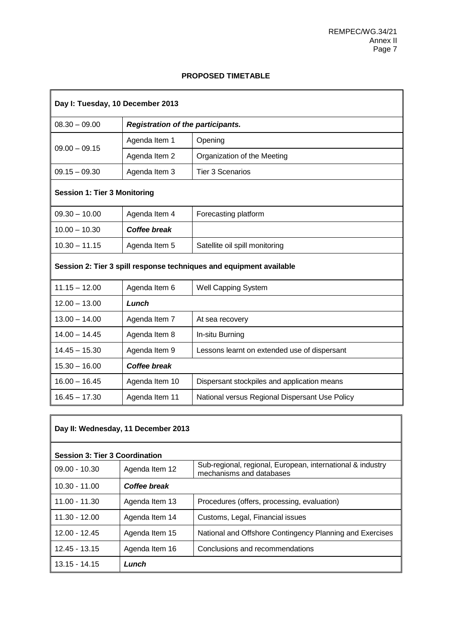7

# **PROPOSED TIMETABLE**

| Day I: Tuesday, 10 December 2013                                    |                                          |                                                |
|---------------------------------------------------------------------|------------------------------------------|------------------------------------------------|
| $08.30 - 09.00$                                                     | <b>Registration of the participants.</b> |                                                |
| $09.00 - 09.15$                                                     | Agenda Item 1                            | Opening                                        |
|                                                                     | Agenda Item 2                            | Organization of the Meeting                    |
| $09.15 - 09.30$                                                     | Agenda Item 3                            | <b>Tier 3 Scenarios</b>                        |
| <b>Session 1: Tier 3 Monitoring</b>                                 |                                          |                                                |
| $09.30 - 10.00$                                                     | Agenda Item 4                            | Forecasting platform                           |
| $10.00 - 10.30$                                                     | <b>Coffee break</b>                      |                                                |
| $10.30 - 11.15$                                                     | Agenda Item 5                            | Satellite oil spill monitoring                 |
| Session 2: Tier 3 spill response techniques and equipment available |                                          |                                                |
| $11.15 - 12.00$                                                     | Agenda Item 6                            | Well Capping System                            |
| $12.00 - 13.00$                                                     | Lunch                                    |                                                |
| $13.00 - 14.00$                                                     | Agenda Item 7                            | At sea recovery                                |
| $14.00 - 14.45$                                                     | Agenda Item 8                            | In-situ Burning                                |
| $14.45 - 15.30$                                                     | Agenda Item 9                            | Lessons learnt on extended use of dispersant   |
| $15.30 - 16.00$                                                     | <b>Coffee break</b>                      |                                                |
| $16.00 - 16.45$                                                     | Agenda Item 10                           | Dispersant stockpiles and application means    |
| $16.45 - 17.30$                                                     | Agenda Item 11                           | National versus Regional Dispersant Use Policy |

| Day II: Wednesday, 11 December 2013   |                |                                                                                        |
|---------------------------------------|----------------|----------------------------------------------------------------------------------------|
| <b>Session 3: Tier 3 Coordination</b> |                |                                                                                        |
| $09.00 - 10.30$                       | Agenda Item 12 | Sub-regional, regional, European, international & industry<br>mechanisms and databases |
| 10.30 - 11.00                         | Coffee break   |                                                                                        |
| $11.00 - 11.30$                       | Agenda Item 13 | Procedures (offers, processing, evaluation)                                            |
| $11.30 - 12.00$                       | Agenda Item 14 | Customs, Legal, Financial issues                                                       |
| $12.00 - 12.45$                       | Agenda Item 15 | National and Offshore Contingency Planning and Exercises                               |
| $12.45 - 13.15$                       | Agenda Item 16 | Conclusions and recommendations                                                        |
| 13.15 - 14.15                         | Lunch          |                                                                                        |

 $\mathbf{r}$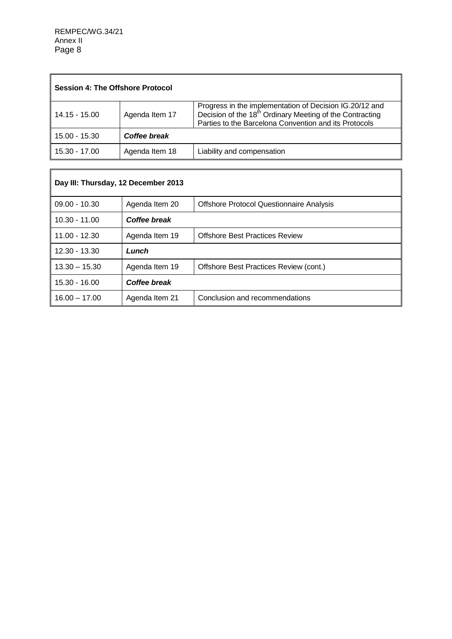| <b>Session 4: The Offshore Protocol</b> |                |                                                                                                                                                                                          |
|-----------------------------------------|----------------|------------------------------------------------------------------------------------------------------------------------------------------------------------------------------------------|
| 14.15 - 15.00                           | Agenda Item 17 | Progress in the implementation of Decision IG.20/12 and<br>Decision of the 18 <sup>th</sup> Ordinary Meeting of the Contracting<br>Parties to the Barcelona Convention and its Protocols |
| 15.00 - 15.30                           | Coffee break   |                                                                                                                                                                                          |
| 15.30 - 17.00                           | Agenda Item 18 | Liability and compensation                                                                                                                                                               |

| Day III: Thursday, 12 December 2013 |                |                                                 |
|-------------------------------------|----------------|-------------------------------------------------|
| $09.00 - 10.30$                     | Agenda Item 20 | <b>Offshore Protocol Questionnaire Analysis</b> |
| $10.30 - 11.00$                     | Coffee break   |                                                 |
| $11.00 - 12.30$                     | Agenda Item 19 | <b>Offshore Best Practices Review</b>           |
| $12.30 - 13.30$                     | Lunch          |                                                 |
| $13.30 - 15.30$                     | Agenda Item 19 | Offshore Best Practices Review (cont.)          |
| $15.30 - 16.00$                     | Coffee break   |                                                 |
| $16.00 - 17.00$                     | Agenda Item 21 | Conclusion and recommendations                  |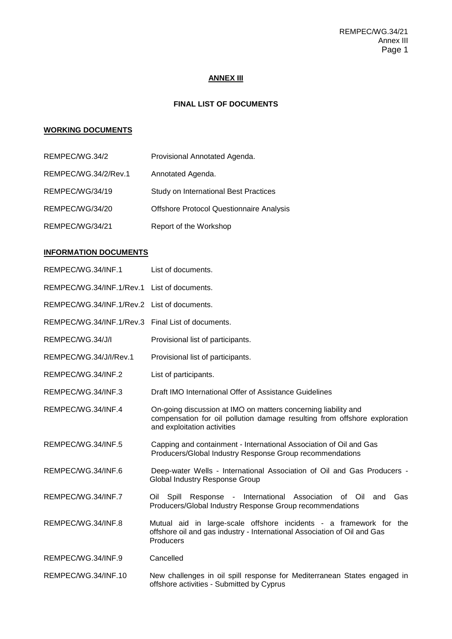# **ANNEX III**

# **FINAL LIST OF DOCUMENTS**

# **WORKING DOCUMENTS**

| REMPEC/WG.34/2       | Provisional Annotated Agenda.                   |
|----------------------|-------------------------------------------------|
| REMPEC/WG.34/2/Rev.1 | Annotated Agenda.                               |
| REMPEC/WG/34/19      | Study on International Best Practices           |
| REMPEC/WG/34/20      | <b>Offshore Protocol Questionnaire Analysis</b> |
| REMPEC/WG/34/21      | Report of the Workshop                          |

## **INFORMATION DOCUMENTS**

| REMPEC/WG.34/INF.1                                | List of documents.                                                                                                                                                         |
|---------------------------------------------------|----------------------------------------------------------------------------------------------------------------------------------------------------------------------------|
| REMPEC/WG.34/INF.1/Rev.1 List of documents.       |                                                                                                                                                                            |
| REMPEC/WG.34/INF.1/Rev.2 List of documents.       |                                                                                                                                                                            |
| REMPEC/WG.34/INF.1/Rev.3 Final List of documents. |                                                                                                                                                                            |
| REMPEC/WG.34/J/I                                  | Provisional list of participants.                                                                                                                                          |
| REMPEC/WG.34/J/l/Rev.1                            | Provisional list of participants.                                                                                                                                          |
| REMPEC/WG.34/INF.2                                | List of participants.                                                                                                                                                      |
| REMPEC/WG.34/INF.3                                | Draft IMO International Offer of Assistance Guidelines                                                                                                                     |
| REMPEC/WG.34/INF.4                                | On-going discussion at IMO on matters concerning liability and<br>compensation for oil pollution damage resulting from offshore exploration<br>and exploitation activities |
| REMPEC/WG.34/INF.5                                | Capping and containment - International Association of Oil and Gas<br>Producers/Global Industry Response Group recommendations                                             |
| REMPEC/WG.34/INF.6                                | Deep-water Wells - International Association of Oil and Gas Producers -<br><b>Global Industry Response Group</b>                                                           |
| REMPEC/WG.34/INF.7                                | Oil Spill Response - International Association of Oil<br>Gas<br>and<br>Producers/Global Industry Response Group recommendations                                            |
| REMPEC/WG.34/INF.8                                | Mutual aid in large-scale offshore incidents - a framework for the<br>offshore oil and gas industry - International Association of Oil and Gas<br>Producers                |
| REMPEC/WG.34/INF.9                                | Cancelled                                                                                                                                                                  |
| REMPEC/WG.34/INF.10                               | New challenges in oil spill response for Mediterranean States engaged in                                                                                                   |

offshore activities - Submitted by Cyprus